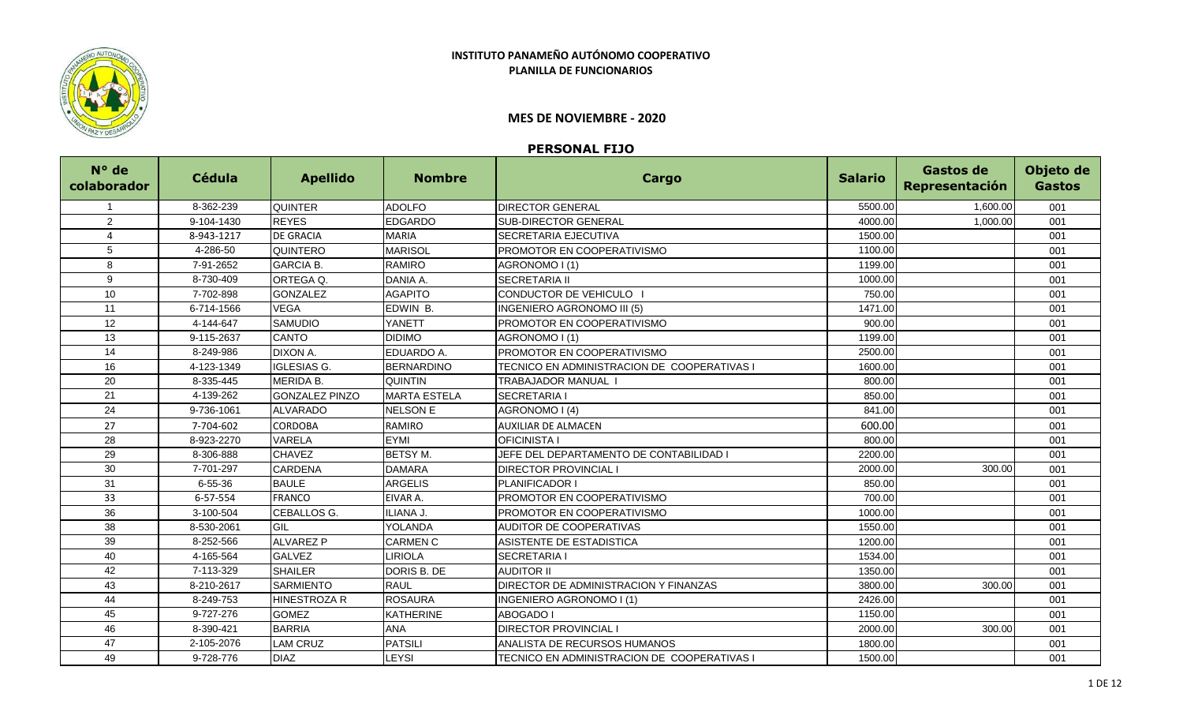

## **INSTITUTO PANAMEÑO AUTÓNOMO COOPERATIVO PLANILLA DE FUNCIONARIOS**

## **MES DE NOVIEMBRE - 2020**

## **PERSONAL FIJO**

| N° de<br>colaborador | <b>Cédula</b> | <b>Apellido</b>       | <b>Nombre</b>       | Cargo                                        | <b>Salario</b> | Gastos de<br>Representación | Objeto de<br><b>Gastos</b> |
|----------------------|---------------|-----------------------|---------------------|----------------------------------------------|----------------|-----------------------------|----------------------------|
|                      | 8-362-239     | <b>QUINTER</b>        | <b>ADOLFO</b>       | <b>DIRECTOR GENERAL</b>                      | 5500.00        | 1,600.00                    | 001                        |
| 2                    | 9-104-1430    | <b>REYES</b>          | <b>EDGARDO</b>      | <b>SUB-DIRECTOR GENERAL</b>                  | 4000.00        | 1,000.00                    | 001                        |
| $\overline{4}$       | 8-943-1217    | <b>DE GRACIA</b>      | <b>MARIA</b>        | <b>SECRETARIA EJECUTIVA</b>                  | 1500.00        |                             | 001                        |
| 5                    | 4-286-50      | QUINTERO              | <b>MARISOL</b>      | PROMOTOR EN COOPERATIVISMO                   | 1100.00        |                             | 001                        |
| 8                    | 7-91-2652     | <b>GARCIA B.</b>      | <b>RAMIRO</b>       | AGRONOMO I (1)                               | 1199.00        |                             | 001                        |
| 9                    | 8-730-409     | ORTEGA Q.             | DANIA A.            | <b>SECRETARIA II</b>                         | 1000.00        |                             | 001                        |
| 10                   | 7-702-898     | <b>GONZALEZ</b>       | <b>AGAPITO</b>      | CONDUCTOR DE VEHICULO                        | 750.00         |                             | 001                        |
| 11                   | 6-714-1566    | VEGA                  | EDWIN B.            | INGENIERO AGRONOMO III (5)                   | 1471.00        |                             | 001                        |
| 12                   | 4-144-647     | <b>SAMUDIO</b>        | YANETT              | PROMOTOR EN COOPERATIVISMO                   | 900.00         |                             | 001                        |
| 13                   | 9-115-2637    | CANTO                 | <b>DIDIMO</b>       | AGRONOMO I (1)                               | 1199.00        |                             | 001                        |
| 14                   | 8-249-986     | DIXON A.              | EDUARDO A.          | PROMOTOR EN COOPERATIVISMO                   | 2500.00        |                             | 001                        |
| 16                   | 4-123-1349    | <b>IGLESIAS G.</b>    | <b>BERNARDINO</b>   | TECNICO EN ADMINISTRACION DE COOPERATIVAS I  | 1600.00        |                             | 001                        |
| 20                   | 8-335-445     | <b>MERIDA B.</b>      | <b>QUINTIN</b>      | <b>TRABAJADOR MANUAL I</b>                   | 800.00         |                             | 001                        |
| 21                   | 4-139-262     | <b>GONZALEZ PINZO</b> | <b>MARTA ESTELA</b> | <b>SECRETARIA I</b>                          | 850.00         |                             | 001                        |
| 24                   | 9-736-1061    | <b>ALVARADO</b>       | <b>NELSON E</b>     | AGRONOMO I (4)                               | 841.00         |                             | 001                        |
| 27                   | 7-704-602     | CORDOBA               | RAMIRO              | <b>AUXILIAR DE ALMACEN</b>                   | 600.00         |                             | 001                        |
| 28                   | 8-923-2270    | VARELA                | <b>EYMI</b>         | <b>OFICINISTA I</b>                          | 800.00         |                             | 001                        |
| 29                   | 8-306-888     | <b>CHAVEZ</b>         | BETSY M.            | JEFE DEL DEPARTAMENTO DE CONTABILIDAD I      | 2200.00        |                             | 001                        |
| 30                   | 7-701-297     | <b>CARDENA</b>        | <b>DAMARA</b>       | <b>DIRECTOR PROVINCIAL I</b>                 | 2000.00        | 300.00                      | 001                        |
| 31                   | $6 - 55 - 36$ | <b>BAULE</b>          | <b>ARGELIS</b>      | PLANIFICADOR I                               | 850.00         |                             | 001                        |
| 33                   | 6-57-554      | <b>FRANCO</b>         | EIVAR A.            | <b>PROMOTOR EN COOPERATIVISMO</b>            | 700.00         |                             | 001                        |
| 36                   | 3-100-504     | CEBALLOS G.           | ILIANA J.           | PROMOTOR EN COOPERATIVISMO                   | 1000.00        |                             | 001                        |
| 38                   | 8-530-2061    | GIL                   | YOLANDA             | <b>AUDITOR DE COOPERATIVAS</b>               | 1550.00        |                             | 001                        |
| 39                   | 8-252-566     | <b>ALVAREZ P</b>      | <b>CARMEN C</b>     | ASISTENTE DE ESTADISTICA                     | 1200.00        |                             | 001                        |
| 40                   | 4-165-564     | <b>GALVEZ</b>         | <b>IRIOLA</b>       | <b>SECRETARIA I</b>                          | 1534.00        |                             | 001                        |
| 42                   | 7-113-329     | <b>SHAILER</b>        | DORIS B. DE         | <b>AUDITOR II</b>                            | 1350.00        |                             | 001                        |
| 43                   | 8-210-2617    | <b>SARMIENTO</b>      | <b>RAUL</b>         | <b>DIRECTOR DE ADMINISTRACION Y FINANZAS</b> | 3800.00        | 300.00                      | 001                        |
| 44                   | 8-249-753     | HINESTROZA R          | <b>ROSAURA</b>      | INGENIERO AGRONOMO I (1)                     | 2426.00        |                             | 001                        |
| 45                   | 9-727-276     | <b>GOMEZ</b>          | <b>KATHERINE</b>    | <b>ABOGADO I</b>                             | 1150.00        |                             | 001                        |
| 46                   | 8-390-421     | <b>BARRIA</b>         | <b>ANA</b>          | <b>DIRECTOR PROVINCIAL I</b>                 | 2000.00        | 300.00                      | 001                        |
| 47                   | 2-105-2076    | <b>LAM CRUZ</b>       | <b>PATSILI</b>      | ANALISTA DE RECURSOS HUMANOS                 | 1800.00        |                             | 001                        |
| 49                   | 9-728-776     | <b>DIAZ</b>           | LEYSI               | TECNICO EN ADMINISTRACION DE COOPERATIVAS I  | 1500.00        |                             | 001                        |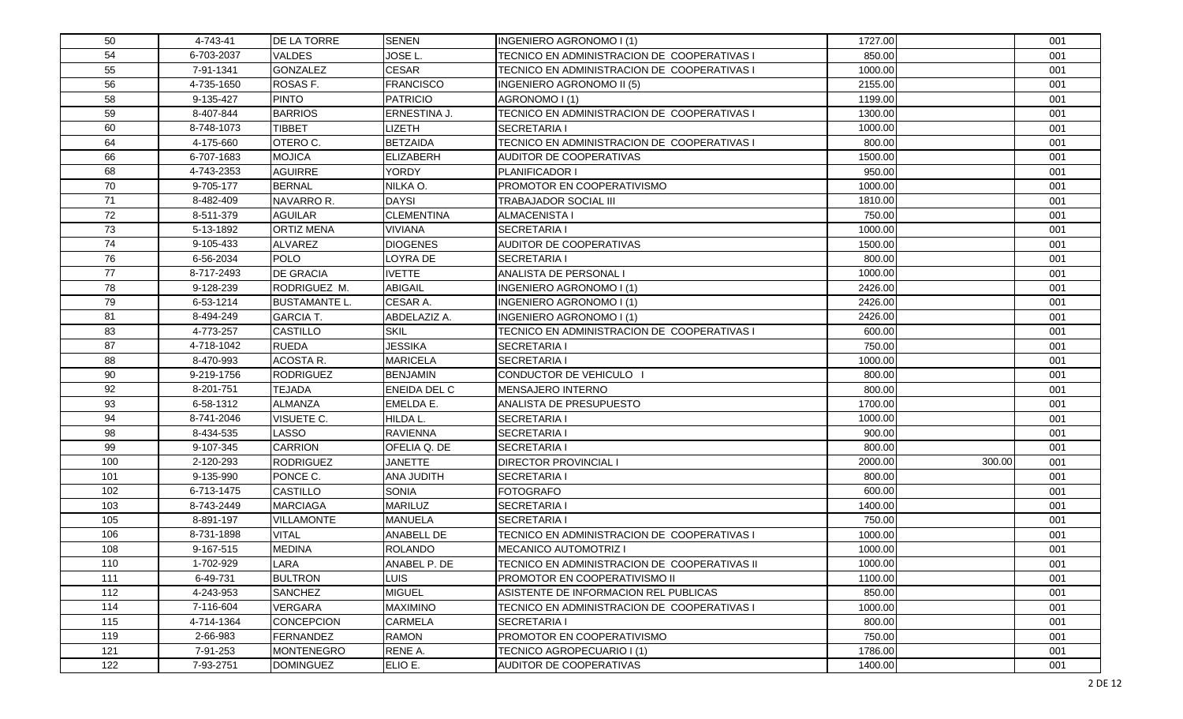| 50  | 4-743-41   | <b>DE LA TORRE</b>   | <b>SENEN</b>        | INGENIERO AGRONOMO I (1)                     | 1727.00 |        | 001 |
|-----|------------|----------------------|---------------------|----------------------------------------------|---------|--------|-----|
| 54  | 6-703-2037 | <b>VALDES</b>        | JOSE L.             | TECNICO EN ADMINISTRACION DE COOPERATIVAS I  | 850.00  |        | 001 |
| 55  | 7-91-1341  | <b>GONZALEZ</b>      | <b>CESAR</b>        | TECNICO EN ADMINISTRACION DE COOPERATIVAS I  | 1000.00 |        | 001 |
| 56  | 4-735-1650 | ROSAS F.             | <b>FRANCISCO</b>    | INGENIERO AGRONOMO II (5)                    | 2155.00 |        | 001 |
| 58  | 9-135-427  | <b>PINTO</b>         | <b>PATRICIO</b>     | AGRONOMO I (1)                               | 1199.00 |        | 001 |
| 59  | 8-407-844  | <b>BARRIOS</b>       | ERNESTINA J.        | TECNICO EN ADMINISTRACION DE COOPERATIVAS I  | 1300.00 |        | 001 |
| 60  | 8-748-1073 | <b>TIBBET</b>        | <b>IZETH</b>        | <b>SECRETARIA I</b>                          | 1000.00 |        | 001 |
| 64  | 4-175-660  | OTERO C.             | <b>BETZAIDA</b>     | TECNICO EN ADMINISTRACION DE COOPERATIVAS I  | 800.00  |        | 001 |
| 66  | 6-707-1683 | <b>MOJICA</b>        | <b>ELIZABERH</b>    | AUDITOR DE COOPERATIVAS                      | 1500.00 |        | 001 |
| 68  | 4-743-2353 | <b>AGUIRRE</b>       | <b>YORDY</b>        | PLANIFICADOR I                               | 950.00  |        | 001 |
| 70  | 9-705-177  | <b>BERNAL</b>        | NILKA O.            | <b>PROMOTOR EN COOPERATIVISMO</b>            | 1000.00 |        | 001 |
| 71  | 8-482-409  | NAVARRO R.           | <b>DAYSI</b>        | <b>TRABAJADOR SOCIAL III</b>                 | 1810.00 |        | 001 |
| 72  | 8-511-379  | <b>AGUILAR</b>       | <b>CLEMENTINA</b>   | <b>ALMACENISTA I</b>                         | 750.00  |        | 001 |
| 73  | 5-13-1892  | <b>ORTIZ MENA</b>    | <b>VIVIANA</b>      | <b>SECRETARIA I</b>                          | 1000.00 |        | 001 |
| 74  | 9-105-433  | <b>ALVAREZ</b>       | <b>DIOGENES</b>     | AUDITOR DE COOPERATIVAS                      | 1500.00 |        | 001 |
| 76  | 6-56-2034  | <b>POLO</b>          | OYRA DE             | <b>SECRETARIA I</b>                          | 800.00  |        | 001 |
| 77  | 8-717-2493 | <b>DE GRACIA</b>     | <b>IVETTE</b>       | ANALISTA DE PERSONAL I                       | 1000.00 |        | 001 |
| 78  | 9-128-239  | RODRIGUEZ M.         | <b>ABIGAIL</b>      | INGENIERO AGRONOMO I (1)                     | 2426.00 |        | 001 |
| 79  | 6-53-1214  | <b>BUSTAMANTE L.</b> | CESAR A.            | INGENIERO AGRONOMO I (1)                     | 2426.00 |        | 001 |
| 81  | 8-494-249  | <b>GARCIA T.</b>     | ABDELAZIZ A.        | INGENIERO AGRONOMO I (1)                     | 2426.00 |        | 001 |
| 83  | 4-773-257  | <b>CASTILLO</b>      | <b>SKIL</b>         | TECNICO EN ADMINISTRACION DE COOPERATIVAS I  | 600.00  |        | 001 |
| 87  | 4-718-1042 | <b>RUEDA</b>         | <b>JESSIKA</b>      | <b>SECRETARIA I</b>                          | 750.00  |        | 001 |
| 88  | 8-470-993  | <b>ACOSTA R.</b>     | <b>MARICELA</b>     | <b>SECRETARIA I</b>                          | 1000.00 |        | 001 |
| 90  | 9-219-1756 | <b>RODRIGUEZ</b>     | <b>BENJAMIN</b>     | CONDUCTOR DE VEHICULO                        | 800.00  |        | 001 |
| 92  | 8-201-751  | <b>TEJADA</b>        | <b>ENEIDA DEL C</b> | MENSAJERO INTERNO                            | 800.00  |        | 001 |
| 93  | 6-58-1312  | <b>ALMANZA</b>       | <b>EMELDA E.</b>    | <b>ANALISTA DE PRESUPUESTO</b>               | 1700.00 |        | 001 |
| 94  | 8-741-2046 | VISUETE C.           | HILDA L.            | <b>SECRETARIA I</b>                          | 1000.00 |        | 001 |
| 98  | 8-434-535  | LASSO                | <b>RAVIENNA</b>     | <b>SECRETARIA I</b>                          | 900.00  |        | 001 |
| 99  | 9-107-345  | <b>CARRION</b>       | OFELIA Q. DE        | <b>SECRETARIA I</b>                          | 800.00  |        | 001 |
| 100 | 2-120-293  | RODRIGUEZ            | <b>JANETTE</b>      | <b>DIRECTOR PROVINCIAL I</b>                 | 2000.00 | 300.00 | 001 |
| 101 | 9-135-990  | PONCE C.             | ANA JUDITH          | <b>SECRETARIA I</b>                          | 800.00  |        | 001 |
| 102 | 6-713-1475 | <b>CASTILLO</b>      | <b>SONIA</b>        | <b>FOTOGRAFO</b>                             | 600.00  |        | 001 |
| 103 | 8-743-2449 | <b>MARCIAGA</b>      | MARILUZ             | <b>SECRETARIA I</b>                          | 1400.00 |        | 001 |
| 105 | 8-891-197  | <b>VILLAMONTE</b>    | MANUELA             | <b>SECRETARIA I</b>                          | 750.00  |        | 001 |
| 106 | 8-731-1898 | <b>VITAL</b>         | ANABELL DE          | TECNICO EN ADMINISTRACION DE COOPERATIVAS I  | 1000.00 |        | 001 |
| 108 | 9-167-515  | <b>MEDINA</b>        | <b>ROLANDO</b>      | <b>MECANICO AUTOMOTRIZ I</b>                 | 1000.00 |        | 001 |
| 110 | 1-702-929  | LARA                 | ANABEL P. DE        | TECNICO EN ADMINISTRACION DE COOPERATIVAS II | 1000.00 |        | 001 |
| 111 | 6-49-731   | <b>BULTRON</b>       | <b>LUIS</b>         | <b>PROMOTOR EN COOPERATIVISMO II</b>         | 1100.00 |        | 001 |
| 112 | 4-243-953  | <b>SANCHEZ</b>       | <b>MIGUEL</b>       | ASISTENTE DE INFORMACION REL PUBLICAS        | 850.00  |        | 001 |
| 114 | 7-116-604  | <b>VERGARA</b>       | <b>MAXIMINO</b>     | TECNICO EN ADMINISTRACION DE COOPERATIVAS I  | 1000.00 |        | 001 |
| 115 | 4-714-1364 | <b>CONCEPCION</b>    | <b>CARMELA</b>      | <b>SECRETARIA I</b>                          | 800.00  |        | 001 |
| 119 | 2-66-983   | FERNANDEZ            | <b>RAMON</b>        | PROMOTOR EN COOPERATIVISMO                   | 750.00  |        | 001 |
| 121 | 7-91-253   | <b>MONTENEGRO</b>    | RENE A.             | TECNICO AGROPECUARIO I (1)                   | 1786.00 |        | 001 |
| 122 | 7-93-2751  | <b>DOMINGUEZ</b>     | ELIO E.             | AUDITOR DE COOPERATIVAS                      | 1400.00 |        | 001 |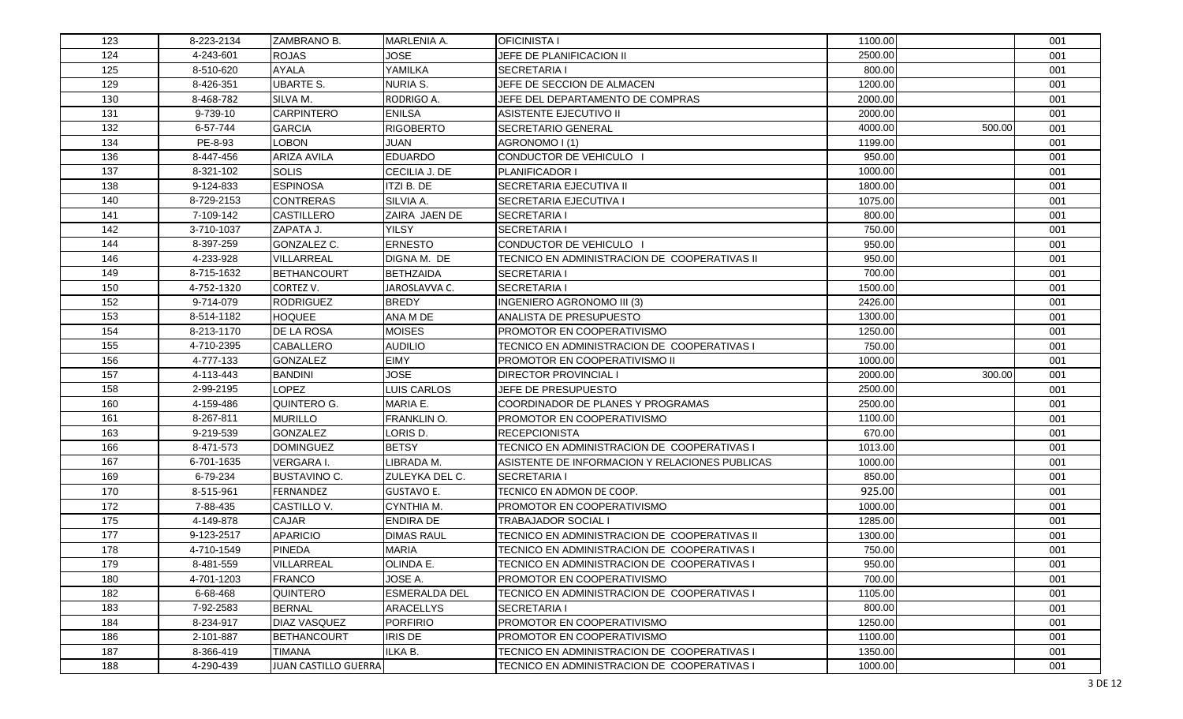| 123 | 8-223-2134 | ZAMBRANO B.          | MARLENIA A.          | <b>OFICINISTA I</b>                            | 1100.00 |        | 001 |
|-----|------------|----------------------|----------------------|------------------------------------------------|---------|--------|-----|
| 124 | 4-243-601  | <b>ROJAS</b>         | JOSE                 | JEFE DE PLANIFICACION II                       | 2500.00 |        | 001 |
| 125 | 8-510-620  | <b>AYALA</b>         | YAMILKA              | <b>SECRETARIA I</b>                            | 800.00  |        | 001 |
| 129 | 8-426-351  | <b>UBARTE S.</b>     | <b>NURIA S.</b>      | JEFE DE SECCION DE ALMACEN                     | 1200.00 |        | 001 |
| 130 | 8-468-782  | SILVA M.             | RODRIGO A.           | JEFE DEL DEPARTAMENTO DE COMPRAS               | 2000.00 |        | 001 |
| 131 | 9-739-10   | <b>CARPINTERO</b>    | <b>ENILSA</b>        | ASISTENTE EJECUTIVO II                         | 2000.00 |        | 001 |
| 132 | 6-57-744   | <b>GARCIA</b>        | <b>RIGOBERTO</b>     | SECRETARIO GENERAL                             | 4000.00 | 500.00 | 001 |
| 134 | PE-8-93    | <b>LOBON</b>         | <b>JUAN</b>          | AGRONOMO I (1)                                 | 1199.00 |        | 001 |
| 136 | 8-447-456  | <b>ARIZA AVILA</b>   | <b>EDUARDO</b>       | CONDUCTOR DE VEHICULO I                        | 950.00  |        | 001 |
| 137 | 8-321-102  | <b>SOLIS</b>         | CECILIA J. DE        | PLANIFICADOR I                                 | 1000.00 |        | 001 |
| 138 | 9-124-833  | <b>ESPINOSA</b>      | ITZI B. DE           | SECRETARIA EJECUTIVA II                        | 1800.00 |        | 001 |
| 140 | 8-729-2153 | <b>CONTRERAS</b>     | SILVIA A.            | SECRETARIA EJECUTIVA I                         | 1075.00 |        | 001 |
| 141 | 7-109-142  | <b>CASTILLERO</b>    | ZAIRA JAEN DE        | SECRETARIA I                                   | 800.00  |        | 001 |
| 142 | 3-710-1037 | ZAPATA J.            | <b>YILSY</b>         | SECRETARIA I                                   | 750.00  |        | 001 |
| 144 | 8-397-259  | GONZALEZ C.          | <b>ERNESTO</b>       | CONDUCTOR DE VEHICULO I                        | 950.00  |        | 001 |
| 146 | 4-233-928  | VILLARREAL           | DIGNA M. DE          | TECNICO EN ADMINISTRACION DE COOPERATIVAS II   | 950.00  |        | 001 |
| 149 | 8-715-1632 | <b>BETHANCOURT</b>   | <b>BETHZAIDA</b>     | <b>SECRETARIA I</b>                            | 700.00  |        | 001 |
| 150 | 4-752-1320 | CORTEZ V.            | JAROSLAVVA C.        | <b>SECRETARIA I</b>                            | 1500.00 |        | 001 |
| 152 | 9-714-079  | <b>RODRIGUEZ</b>     | <b>BREDY</b>         | INGENIERO AGRONOMO III (3)                     | 2426.00 |        | 001 |
| 153 | 8-514-1182 | <b>HOQUEE</b>        | ANA M DE             | ANALISTA DE PRESUPUESTO                        | 1300.00 |        | 001 |
| 154 | 8-213-1170 | <b>DE LA ROSA</b>    | <b>MOISES</b>        | PROMOTOR EN COOPERATIVISMO                     | 1250.00 |        | 001 |
| 155 | 4-710-2395 | <b>CABALLERO</b>     | <b>AUDILIO</b>       | TECNICO EN ADMINISTRACION DE COOPERATIVAS I    | 750.00  |        | 001 |
| 156 | 4-777-133  | <b>GONZALEZ</b>      | <b>EIMY</b>          | PROMOTOR EN COOPERATIVISMO II                  | 1000.00 |        | 001 |
| 157 | 4-113-443  | <b>BANDINI</b>       | <b>JOSE</b>          | <b>DIRECTOR PROVINCIAL I</b>                   | 2000.00 | 300.00 | 001 |
| 158 | 2-99-2195  | <b>LOPEZ</b>         | LUIS CARLOS          | JEFE DE PRESUPUESTO                            | 2500.00 |        | 001 |
| 160 | 4-159-486  | QUINTERO G.          | MARIA E.             | COORDINADOR DE PLANES Y PROGRAMAS              | 2500.00 |        | 001 |
| 161 | 8-267-811  | <b>MURILLO</b>       | <b>FRANKLIN O.</b>   | PROMOTOR EN COOPERATIVISMO                     | 1100.00 |        | 001 |
| 163 | 9-219-539  | <b>GONZALEZ</b>      | LORIS D.             | <b>RECEPCIONISTA</b>                           | 670.00  |        | 001 |
| 166 | 8-471-573  | <b>DOMINGUEZ</b>     | <b>BETSY</b>         | TECNICO EN ADMINISTRACION DE COOPERATIVAS I    | 1013.00 |        | 001 |
| 167 | 6-701-1635 | <b>VERGARA I.</b>    | <b>IBRADA M.</b>     | ASISTENTE DE INFORMACION Y RELACIONES PUBLICAS | 1000.00 |        | 001 |
| 169 | 6-79-234   | <b>BUSTAVINO C.</b>  | ZULEYKA DEL C.       | SECRETARIA I                                   | 850.00  |        | 001 |
| 170 | 8-515-961  | <b>FERNANDEZ</b>     | <b>GUSTAVO E.</b>    | TECNICO EN ADMON DE COOP.                      | 925.00  |        | 001 |
| 172 | 7-88-435   | CASTILLO V.          | CYNTHIA M.           | PROMOTOR EN COOPERATIVISMO                     | 1000.00 |        | 001 |
| 175 | 4-149-878  | CAJAR                | <b>ENDIRA DE</b>     | TRABAJADOR SOCIAL I                            | 1285.00 |        | 001 |
| 177 | 9-123-2517 | <b>APARICIO</b>      | <b>DIMAS RAUL</b>    | TECNICO EN ADMINISTRACION DE COOPERATIVAS II   | 1300.00 |        | 001 |
| 178 | 4-710-1549 | <b>PINEDA</b>        | <b>MARIA</b>         | TECNICO EN ADMINISTRACION DE COOPERATIVAS I    | 750.00  |        | 001 |
| 179 | 8-481-559  | <b>VILLARREAL</b>    | OLINDA E.            | TECNICO EN ADMINISTRACION DE COOPERATIVAS I    | 950.00  |        | 001 |
| 180 | 4-701-1203 | <b>FRANCO</b>        | JOSE A.              | PROMOTOR EN COOPERATIVISMO                     | 700.00  |        | 001 |
| 182 | 6-68-468   | QUINTERO             | <b>ESMERALDA DEL</b> | TECNICO EN ADMINISTRACION DE COOPERATIVAS I    | 1105.00 |        | 001 |
| 183 | 7-92-2583  | <b>BERNAL</b>        | <b>ARACELLYS</b>     | <b>SECRETARIA I</b>                            | 800.00  |        | 001 |
| 184 | 8-234-917  | DIAZ VASQUEZ         | <b>PORFIRIO</b>      | PROMOTOR EN COOPERATIVISMO                     | 1250.00 |        | 001 |
| 186 | 2-101-887  | <b>BETHANCOURT</b>   | <b>IRIS DE</b>       | PROMOTOR EN COOPERATIVISMO                     | 1100.00 |        | 001 |
| 187 | 8-366-419  | <b>TIMANA</b>        | ILKA B.              | TECNICO EN ADMINISTRACION DE COOPERATIVAS I    | 1350.00 |        | 001 |
| 188 | 4-290-439  | JUAN CASTILLO GUERRA |                      | TECNICO EN ADMINISTRACION DE COOPERATIVAS I    | 1000.00 |        | 001 |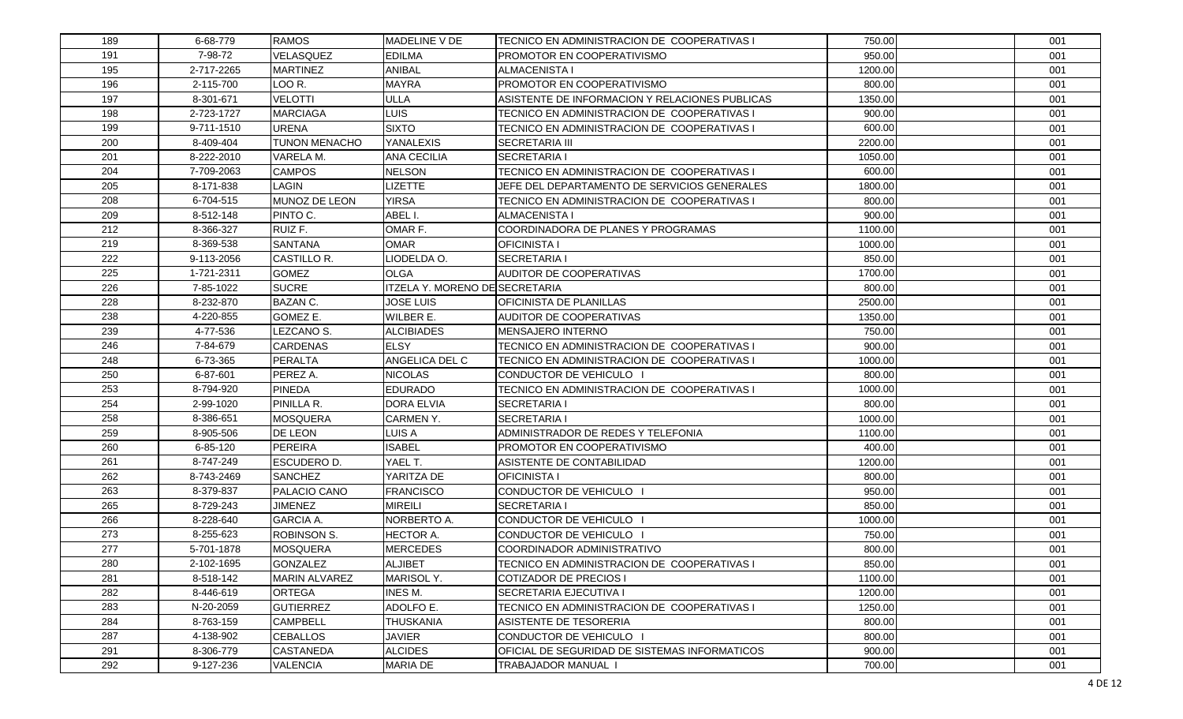| 189 | 6-68-779   | <b>RAMOS</b>           | MADELINE V DE                  | TECNICO EN ADMINISTRACION DE COOPERATIVAS I    | 750.00  | 001 |
|-----|------------|------------------------|--------------------------------|------------------------------------------------|---------|-----|
| 191 | 7-98-72    | VELASQUEZ              | <b>EDILMA</b>                  | <b>PROMOTOR EN COOPERATIVISMO</b>              | 950.00  | 001 |
| 195 | 2-717-2265 | <b>MARTINEZ</b>        | ANIBAL                         | <b>ALMACENISTA I</b>                           | 1200.00 | 001 |
| 196 | 2-115-700  | LOO R.                 | <b>MAYRA</b>                   | PROMOTOR EN COOPERATIVISMO                     | 800.00  | 001 |
| 197 | 8-301-671  | <b>VELOTTI</b>         | ULLA                           | ASISTENTE DE INFORMACION Y RELACIONES PUBLICAS | 1350.00 | 001 |
| 198 | 2-723-1727 | <b>MARCIAGA</b>        | LUIS                           | TECNICO EN ADMINISTRACION DE COOPERATIVAS I    | 900.00  | 001 |
| 199 | 9-711-1510 | <b>URENA</b>           | <b>SIXTO</b>                   | TECNICO EN ADMINISTRACION DE COOPERATIVAS I    | 600.00  | 001 |
| 200 | 8-409-404  | <b>TUNON MENACHO</b>   | YANALEXIS                      | <b>SECRETARIA III</b>                          | 2200.00 | 001 |
| 201 | 8-222-2010 | VARELA M.              | <b>ANA CECILIA</b>             | <b>SECRETARIA I</b>                            | 1050.00 | 001 |
| 204 | 7-709-2063 | <b>CAMPOS</b>          | <b>NELSON</b>                  | TECNICO EN ADMINISTRACION DE COOPERATIVAS I    | 600.00  | 001 |
| 205 | 8-171-838  | LAGIN                  | <b>LIZETTE</b>                 | JEFE DEL DEPARTAMENTO DE SERVICIOS GENERALES   | 1800.00 | 001 |
| 208 | 6-704-515  | MUNOZ DE LEON          | <b>YIRSA</b>                   | TECNICO EN ADMINISTRACION DE COOPERATIVAS I    | 800.00  | 001 |
| 209 | 8-512-148  | PINTO C.               | ABEL I.                        | <b>ALMACENISTA I</b>                           | 900.00  | 001 |
| 212 | 8-366-327  | RUIZ F.                | OMAR F.                        | COORDINADORA DE PLANES Y PROGRAMAS             | 1100.00 | 001 |
| 219 | 8-369-538  | SANTANA                | <b>OMAR</b>                    | <b>OFICINISTA I</b>                            | 1000.00 | 001 |
| 222 | 9-113-2056 | CASTILLO R.            | LIODELDA O.                    | ISECRETARIA I                                  | 850.00  | 001 |
| 225 | 1-721-2311 | <b>GOMEZ</b>           | <b>OLGA</b>                    | AUDITOR DE COOPERATIVAS                        | 1700.00 | 001 |
| 226 | 7-85-1022  | <b>SUCRE</b>           | ITZELA Y. MORENO DE SECRETARIA |                                                | 800.00  | 001 |
| 228 | 8-232-870  | <b>BAZAN C.</b>        | <b>JOSE LUIS</b>               | <b>OFICINISTA DE PLANILLAS</b>                 | 2500.00 | 001 |
| 238 | 4-220-855  | GOMEZ E.               | WILBER E.                      | <b>AUDITOR DE COOPERATIVAS</b>                 | 1350.00 | 001 |
| 239 | 4-77-536   | LEZCANO <sub>S</sub> . | <b>ALCIBIADES</b>              | <b>MENSAJERO INTERNO</b>                       | 750.00  | 001 |
| 246 | 7-84-679   | <b>CARDENAS</b>        | <b>ELSY</b>                    | TECNICO EN ADMINISTRACION DE COOPERATIVAS I    | 900.00  | 001 |
| 248 | 6-73-365   | <b>PERALTA</b>         | ANGELICA DEL C                 | TECNICO EN ADMINISTRACION DE COOPERATIVAS I    | 1000.00 | 001 |
| 250 | 6-87-601   | PEREZ A.               | <b>NICOLAS</b>                 | CONDUCTOR DE VEHICULO I                        | 800.00  | 001 |
| 253 | 8-794-920  | <b>PINEDA</b>          | <b>EDURADO</b>                 | TECNICO EN ADMINISTRACION DE COOPERATIVAS I    | 1000.00 | 001 |
| 254 | 2-99-1020  | PINILLA R.             | DORA ELVIA                     | <b>SECRETARIA I</b>                            | 800.00  | 001 |
| 258 | 8-386-651  | <b>MOSQUERA</b>        | <b>CARMEN Y.</b>               | ISECRETARIA I                                  | 1000.00 | 001 |
| 259 | 8-905-506  | DE LEON                | LUIS A                         | ADMINISTRADOR DE REDES Y TELEFONIA             | 1100.00 | 001 |
| 260 | 6-85-120   | <b>PEREIRA</b>         | <b>ISABEL</b>                  | <b>PROMOTOR EN COOPERATIVISMO</b>              | 400.00  | 001 |
| 261 | 8-747-249  | <b>ESCUDERO D.</b>     | YAEL T.                        | ASISTENTE DE CONTABILIDAD                      | 1200.00 | 001 |
| 262 | 8-743-2469 | <b>SANCHEZ</b>         | YARITZA DE                     | <b>OFICINISTA I</b>                            | 800.00  | 001 |
| 263 | 8-379-837  | PALACIO CANO           | <b>FRANCISCO</b>               | CONDUCTOR DE VEHICULO                          | 950.00  | 001 |
| 265 | 8-729-243  | <b>JIMENEZ</b>         | MIREILI                        | <b>SECRETARIA I</b>                            | 850.00  | 001 |
| 266 | 8-228-640  | <b>GARCIA A.</b>       | NORBERTO A.                    | CONDUCTOR DE VEHICULO I                        | 1000.00 | 001 |
| 273 | 8-255-623  | <b>ROBINSON S.</b>     | HECTOR A.                      | CONDUCTOR DE VEHICULO I                        | 750.00  | 001 |
| 277 | 5-701-1878 | <b>MOSQUERA</b>        | <b>MERCEDES</b>                | COORDINADOR ADMINISTRATIVO                     | 800.00  | 001 |
| 280 | 2-102-1695 | <b>GONZALEZ</b>        | <b>ALJIBET</b>                 | TECNICO EN ADMINISTRACION DE COOPERATIVAS I    | 850.00  | 001 |
| 281 | 8-518-142  | <b>MARIN ALVAREZ</b>   | MARISOL Y.                     | <b>COTIZADOR DE PRECIOS I</b>                  | 1100.00 | 001 |
| 282 | 8-446-619  | <b>ORTEGA</b>          | INES M.                        | SECRETARIA EJECUTIVA I                         | 1200.00 | 001 |
| 283 | N-20-2059  | <b>GUTIERREZ</b>       | ADOLFO E.                      | TECNICO EN ADMINISTRACION DE COOPERATIVAS I    | 1250.00 | 001 |
| 284 | 8-763-159  | <b>CAMPBELL</b>        | <b>THUSKANIA</b>               | ASISTENTE DE TESORERIA                         | 800.00  | 001 |
| 287 | 4-138-902  | <b>CEBALLOS</b>        | <b>JAVIER</b>                  | CONDUCTOR DE VEHICULO I                        | 800.00  | 001 |
| 291 | 8-306-779  | <b>CASTANEDA</b>       | <b>ALCIDES</b>                 | OFICIAL DE SEGURIDAD DE SISTEMAS INFORMATICOS  | 900.00  | 001 |
| 292 | 9-127-236  | <b>VALENCIA</b>        | <b>MARIA DE</b>                | <b>TRABAJADOR MANUAL</b>                       | 700.00  | 001 |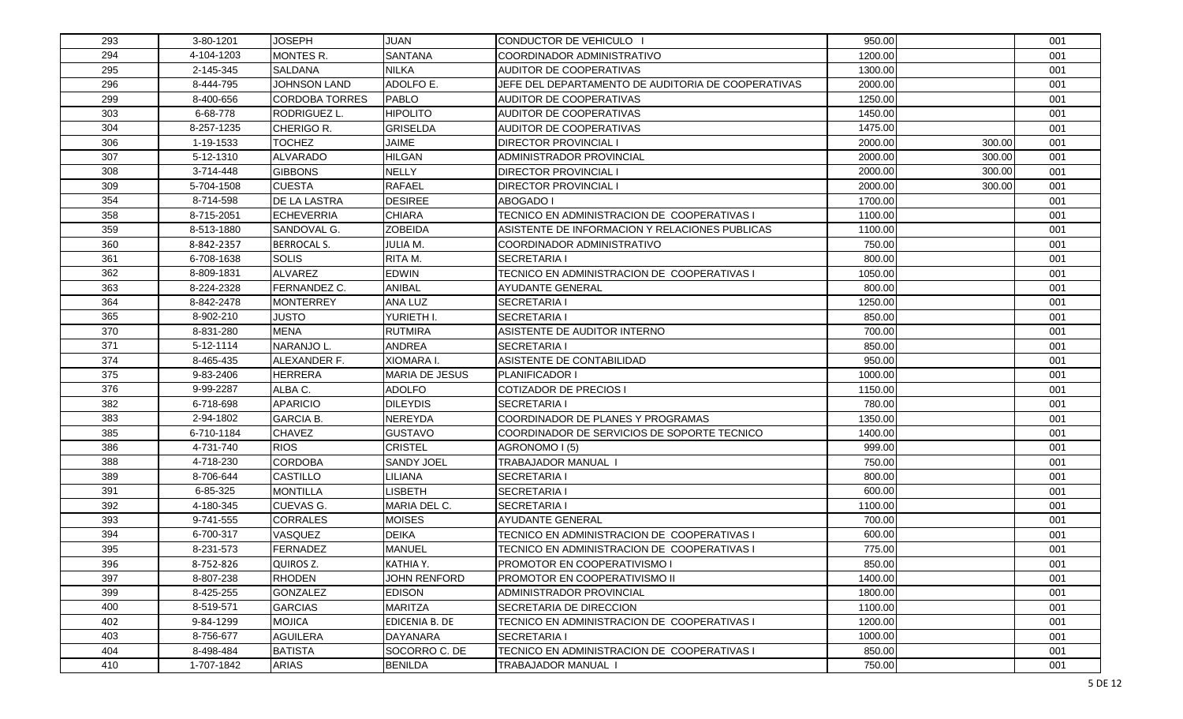| 293 | 3-80-1201  | <b>JOSEPH</b>         | <b>JUAN</b>           | CONDUCTOR DE VEHICULO                              | 950.00  |        | 001 |
|-----|------------|-----------------------|-----------------------|----------------------------------------------------|---------|--------|-----|
| 294 | 4-104-1203 | MONTES R.             | <b>SANTANA</b>        | COORDINADOR ADMINISTRATIVO                         | 1200.00 |        | 001 |
| 295 | 2-145-345  | <b>SALDANA</b>        | <b>NILKA</b>          | AUDITOR DE COOPERATIVAS                            | 1300.00 |        | 001 |
| 296 | 8-444-795  | <b>JOHNSON LAND</b>   | ADOLFO E.             | JEFE DEL DEPARTAMENTO DE AUDITORIA DE COOPERATIVAS | 2000.00 |        | 001 |
| 299 | 8-400-656  | <b>CORDOBA TORRES</b> | <b>PABLO</b>          | <b>AUDITOR DE COOPERATIVAS</b>                     | 1250.00 |        | 001 |
| 303 | 6-68-778   | <b>RODRIGUEZ L</b>    | <b>HIPOLITO</b>       | AUDITOR DE COOPERATIVAS                            | 1450.00 |        | 001 |
| 304 | 8-257-1235 | CHERIGO R.            | <b>GRISELDA</b>       | <b>AUDITOR DE COOPERATIVAS</b>                     | 1475.00 |        | 001 |
| 306 | 1-19-1533  | <b>TOCHEZ</b>         | <b>JAIME</b>          | <b>DIRECTOR PROVINCIAL I</b>                       | 2000.00 | 300.00 | 001 |
| 307 | 5-12-1310  | <b>ALVARADO</b>       | <b>HILGAN</b>         | <b>ADMINISTRADOR PROVINCIAL</b>                    | 2000.00 | 300.00 | 001 |
| 308 | 3-714-448  | <b>GIBBONS</b>        | <b>NELLY</b>          | <b>DIRECTOR PROVINCIAL I</b>                       | 2000.00 | 300.00 | 001 |
| 309 | 5-704-1508 | <b>CUESTA</b>         | <b>RAFAEL</b>         | <b>DIRECTOR PROVINCIAL I</b>                       | 2000.00 | 300.00 | 001 |
| 354 | 8-714-598  | <b>DE LA LASTRA</b>   | <b>DESIREE</b>        | <b>ABOGADO I</b>                                   | 1700.00 |        | 001 |
| 358 | 8-715-2051 | <b>ECHEVERRIA</b>     | <b>CHIARA</b>         | TECNICO EN ADMINISTRACION DE COOPERATIVAS I        | 1100.00 |        | 001 |
| 359 | 8-513-1880 | SANDOVAL G.           | <b>ZOBEIDA</b>        | ASISTENTE DE INFORMACION Y RELACIONES PUBLICAS     | 1100.00 |        | 001 |
| 360 | 8-842-2357 | <b>BERROCAL S.</b>    | JULIA M.              | COORDINADOR ADMINISTRATIVO                         | 750.00  |        | 001 |
| 361 | 6-708-1638 | <b>SOLIS</b>          | RITA M.               | <b>SECRETARIA I</b>                                | 800.00  |        | 001 |
| 362 | 8-809-1831 | <b>ALVAREZ</b>        | <b>EDWIN</b>          | TECNICO EN ADMINISTRACION DE COOPERATIVAS I        | 1050.00 |        | 001 |
| 363 | 8-224-2328 | FERNANDEZ C.          | ANIBAL                | AYUDANTE GENERAL                                   | 800.00  |        | 001 |
| 364 | 8-842-2478 | <b>MONTERREY</b>      | ANA LUZ               | <b>SECRETARIA I</b>                                | 1250.00 |        | 001 |
| 365 | 8-902-210  | <b>JUSTO</b>          | YURIETH I.            | <b>SECRETARIA I</b>                                | 850.00  |        | 001 |
| 370 | 8-831-280  | <b>MENA</b>           | <b>RUTMIRA</b>        | ASISTENTE DE AUDITOR INTERNO                       | 700.00  |        | 001 |
| 371 | 5-12-1114  | NARANJO L.            | <b>ANDREA</b>         | <b>SECRETARIA I</b>                                | 850.00  |        | 001 |
| 374 | 8-465-435  | ALEXANDER F.          | XIOMARA I.            | ASISTENTE DE CONTABILIDAD                          | 950.00  |        | 001 |
| 375 | 9-83-2406  | <b>HERRERA</b>        | <b>MARIA DE JESUS</b> | <b>PLANIFICADOR I</b>                              | 1000.00 |        | 001 |
| 376 | 9-99-2287  | ALBA C.               | <b>ADOLFO</b>         | COTIZADOR DE PRECIOS I                             | 1150.00 |        | 001 |
| 382 | 6-718-698  | <b>APARICIO</b>       | <b>DILEYDIS</b>       | <b>SECRETARIA I</b>                                | 780.00  |        | 001 |
| 383 | 2-94-1802  | <b>GARCIA B.</b>      | NEREYDA               | COORDINADOR DE PLANES Y PROGRAMAS                  | 1350.00 |        | 001 |
| 385 | 6-710-1184 | <b>CHAVEZ</b>         | <b>GUSTAVO</b>        | COORDINADOR DE SERVICIOS DE SOPORTE TECNICO        | 1400.00 |        | 001 |
| 386 | 4-731-740  | <b>RIOS</b>           | <b>CRISTEL</b>        | AGRONOMO I (5)                                     | 999.00  |        | 001 |
| 388 | 4-718-230  | <b>CORDOBA</b>        | <b>SANDY JOEL</b>     | TRABAJADOR MANUAL                                  | 750.00  |        | 001 |
| 389 | 8-706-644  | <b>CASTILLO</b>       | <b>ILIANA</b>         | <b>SECRETARIA I</b>                                | 800.00  |        | 001 |
| 391 | 6-85-325   | <b>MONTILLA</b>       | <b>ISBETH</b>         | <b>SECRETARIA I</b>                                | 600.00  |        | 001 |
| 392 | 4-180-345  | <b>CUEVAS G.</b>      | MARIA DEL C.          | <b>SECRETARIA I</b>                                | 1100.00 |        | 001 |
| 393 | 9-741-555  | <b>CORRALES</b>       | MOISES                | <b>AYUDANTE GENERAL</b>                            | 700.00  |        | 001 |
| 394 | 6-700-317  | VASQUEZ               | <b>DEIKA</b>          | TECNICO EN ADMINISTRACION DE COOPERATIVAS I        | 600.00  |        | 001 |
| 395 | 8-231-573  | <b>FERNADEZ</b>       | MANUEL                | TECNICO EN ADMINISTRACION DE COOPERATIVAS I        | 775.00  |        | 001 |
| 396 | 8-752-826  | QUIROS Z.             | KATHIA Y.             | <b>PROMOTOR EN COOPERATIVISMO</b>                  | 850.00  |        | 001 |
| 397 | 8-807-238  | <b>RHODEN</b>         | <b>JOHN RENFORD</b>   | <b>PROMOTOR EN COOPERATIVISMO II</b>               | 1400.00 |        | 001 |
| 399 | 8-425-255  | <b>GONZALEZ</b>       | <b>EDISON</b>         | <b>ADMINISTRADOR PROVINCIAL</b>                    | 1800.00 |        | 001 |
| 400 | 8-519-571  | <b>GARCIAS</b>        | <b>MARITZA</b>        | <b>SECRETARIA DE DIRECCION</b>                     | 1100.00 |        | 001 |
| 402 | 9-84-1299  | <b>MOJICA</b>         | EDICENIA B. DE        | TECNICO EN ADMINISTRACION DE COOPERATIVAS I        | 1200.00 |        | 001 |
| 403 | 8-756-677  | <b>AGUILERA</b>       | <b>DAYANARA</b>       | <b>SECRETARIA I</b>                                | 1000.00 |        | 001 |
| 404 | 8-498-484  | <b>BATISTA</b>        | SOCORRO C. DE         | TECNICO EN ADMINISTRACION DE COOPERATIVAS I        | 850.00  |        | 001 |
| 410 | 1-707-1842 | <b>ARIAS</b>          | <b>BENILDA</b>        | <b>TRABAJADOR MANUAL</b>                           | 750.00  |        | 001 |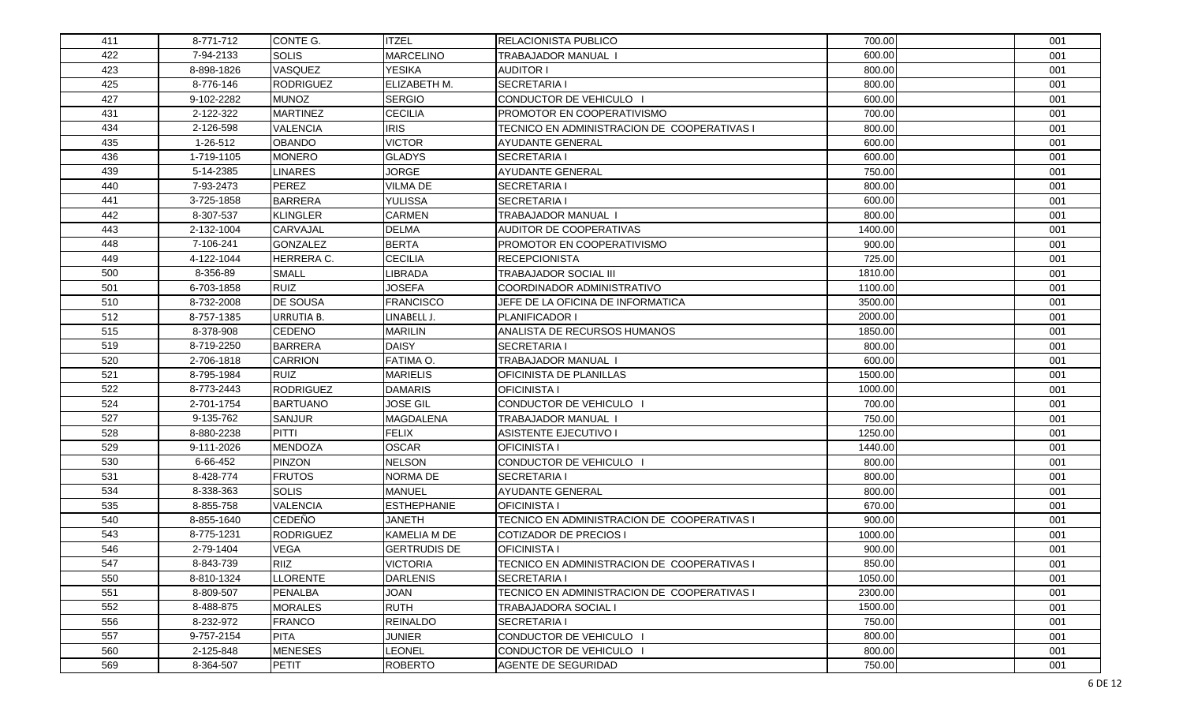| 411 | 8-771-712  | CONTE G.          | <b>ITZEL</b>        | <b>RELACIONISTA PUBLICO</b>                 | 700.00  | 001 |
|-----|------------|-------------------|---------------------|---------------------------------------------|---------|-----|
| 422 | 7-94-2133  | <b>SOLIS</b>      | <b>MARCELINO</b>    | <b>TRABAJADOR MANUAL I</b>                  | 600.00  | 001 |
| 423 | 8-898-1826 | VASQUEZ           | <b>YESIKA</b>       | <b>AUDITOR I</b>                            | 800.00  | 001 |
| 425 | 8-776-146  | <b>RODRIGUEZ</b>  | ELIZABETH M.        | <b>SECRETARIA I</b>                         | 800.00  | 001 |
| 427 | 9-102-2282 | <b>MUNOZ</b>      | <b>SERGIO</b>       | CONDUCTOR DE VEHICULO                       | 600.00  | 001 |
| 431 | 2-122-322  | <b>MARTINEZ</b>   | <b>CECILIA</b>      | <b>PROMOTOR EN COOPERATIVISMO</b>           | 700.00  | 001 |
| 434 | 2-126-598  | <b>VALENCIA</b>   | <b>IRIS</b>         | TECNICO EN ADMINISTRACION DE COOPERATIVAS I | 800.00  | 001 |
| 435 | 1-26-512   | <b>OBANDO</b>     | <b>VICTOR</b>       | IAYUDANTE GENERAL                           | 600.00  | 001 |
| 436 | 1-719-1105 | <b>MONERO</b>     | <b>GLADYS</b>       | <b>SECRETARIA I</b>                         | 600.00  | 001 |
| 439 | 5-14-2385  | <b>LINARES</b>    | <b>JORGE</b>        | <b>AYUDANTE GENERAL</b>                     | 750.00  | 001 |
| 440 | 7-93-2473  | <b>PEREZ</b>      | <b>VILMA DE</b>     | <b>SECRETARIA I</b>                         | 800.00  | 001 |
| 441 | 3-725-1858 | <b>BARRERA</b>    | <b>YULISSA</b>      | <b>SECRETARIA I</b>                         | 600.00  | 001 |
| 442 | 8-307-537  | <b>KLINGLER</b>   | <b>CARMEN</b>       | <b>TRABAJADOR MANUAL</b>                    | 800.00  | 001 |
| 443 | 2-132-1004 | CARVAJAL          | <b>DELMA</b>        | AUDITOR DE COOPERATIVAS                     | 1400.00 | 001 |
| 448 | 7-106-241  | <b>GONZALEZ</b>   | <b>BERTA</b>        | <b>PROMOTOR EN COOPERATIVISMO</b>           | 900.00  | 001 |
| 449 | 4-122-1044 | HERRERA C.        | <b>CECILIA</b>      | <b>RECEPCIONISTA</b>                        | 725.00  | 001 |
| 500 | 8-356-89   | <b>SMALL</b>      | <b>IBRADA</b>       | <b>TRABAJADOR SOCIAL III</b>                | 1810.00 | 001 |
| 501 | 6-703-1858 | <b>RUIZ</b>       | <b>JOSEFA</b>       | COORDINADOR ADMINISTRATIVO                  | 1100.00 | 001 |
| 510 | 8-732-2008 | <b>DE SOUSA</b>   | <b>FRANCISCO</b>    | <b>IJEFE DE LA OFICINA DE INFORMATICA</b>   | 3500.00 | 001 |
| 512 | 8-757-1385 | <b>URRUTIA B.</b> | LINABELL J.         | <b>PLANIFICADOR I</b>                       | 2000.00 | 001 |
| 515 | 8-378-908  | <b>CEDENO</b>     | <b>MARILIN</b>      | ANALISTA DE RECURSOS HUMANOS                | 1850.00 | 001 |
| 519 | 8-719-2250 | <b>BARRERA</b>    | <b>DAISY</b>        | <b>SECRETARIA I</b>                         | 800.00  | 001 |
| 520 | 2-706-1818 | <b>CARRION</b>    | FATIMA O.           | <b>TRABAJADOR MANUAL</b>                    | 600.00  | 001 |
| 521 | 8-795-1984 | <b>RUIZ</b>       | <b>MARIELIS</b>     | <b>OFICINISTA DE PLANILLAS</b>              | 1500.00 | 001 |
| 522 | 8-773-2443 | <b>RODRIGUEZ</b>  | <b>DAMARIS</b>      | <b>OFICINISTA I</b>                         | 1000.00 | 001 |
| 524 | 2-701-1754 | <b>BARTUANO</b>   | <b>JOSE GIL</b>     | CONDUCTOR DE VEHICULO                       | 700.00  | 001 |
| 527 | 9-135-762  | <b>SANJUR</b>     | <b>MAGDALENA</b>    | TRABAJADOR MANUAL                           | 750.00  | 001 |
| 528 | 8-880-2238 | PITTI             | <b>FELIX</b>        | <b>ASISTENTE EJECUTIVO I</b>                | 1250.00 | 001 |
| 529 | 9-111-2026 | <b>MENDOZA</b>    | <b>OSCAR</b>        | <b>OFICINISTA I</b>                         | 1440.00 | 001 |
| 530 | 6-66-452   | PINZON            | <b>NELSON</b>       | CONDUCTOR DE VEHICULO                       | 800.00  | 001 |
| 531 | 8-428-774  | <b>FRUTOS</b>     | NORMA DE            | <b>SECRETARIA I</b>                         | 800.00  | 001 |
| 534 | 8-338-363  | <b>SOLIS</b>      | MANUEL              | <b>AYUDANTE GENERAL</b>                     | 800.00  | 001 |
| 535 | 8-855-758  | <b>VALENCIA</b>   | <b>ESTHEPHANIE</b>  | <b>OFICINISTA I</b>                         | 670.00  | 001 |
| 540 | 8-855-1640 | <b>CEDEÑO</b>     | JANETH              | TECNICO EN ADMINISTRACION DE COOPERATIVAS I | 900.00  | 001 |
| 543 | 8-775-1231 | <b>RODRIGUEZ</b>  | KAMELIA M DE        | COTIZADOR DE PRECIOS I                      | 1000.00 | 001 |
| 546 | 2-79-1404  | <b>VEGA</b>       | <b>GERTRUDIS DE</b> | <b>OFICINISTA I</b>                         | 900.00  | 001 |
| 547 | 8-843-739  | RIIZ              | <b>VICTORIA</b>     | TECNICO EN ADMINISTRACION DE COOPERATIVAS I | 850.00  | 001 |
| 550 | 8-810-1324 | <b>LLORENTE</b>   | <b>DARLENIS</b>     | <b>SECRETARIA I</b>                         | 1050.00 | 001 |
| 551 | 8-809-507  | PENALBA           | <b>JOAN</b>         | TECNICO EN ADMINISTRACION DE COOPERATIVAS I | 2300.00 | 001 |
| 552 | 8-488-875  | <b>MORALES</b>    | <b>RUTH</b>         | <b>TRABAJADORA SOCIAL I</b>                 | 1500.00 | 001 |
| 556 | 8-232-972  | <b>FRANCO</b>     | <b>REINALDO</b>     | <b>SECRETARIA I</b>                         | 750.00  | 001 |
| 557 | 9-757-2154 | <b>PITA</b>       | <b>JUNIER</b>       | CONDUCTOR DE VEHICULO                       | 800.00  | 001 |
| 560 | 2-125-848  | <b>MENESES</b>    | LEONEL              | CONDUCTOR DE VEHICULO                       | 800.00  | 001 |
| 569 | 8-364-507  | <b>PETIT</b>      | <b>ROBERTO</b>      | AGENTE DE SEGURIDAD                         | 750.00  | 001 |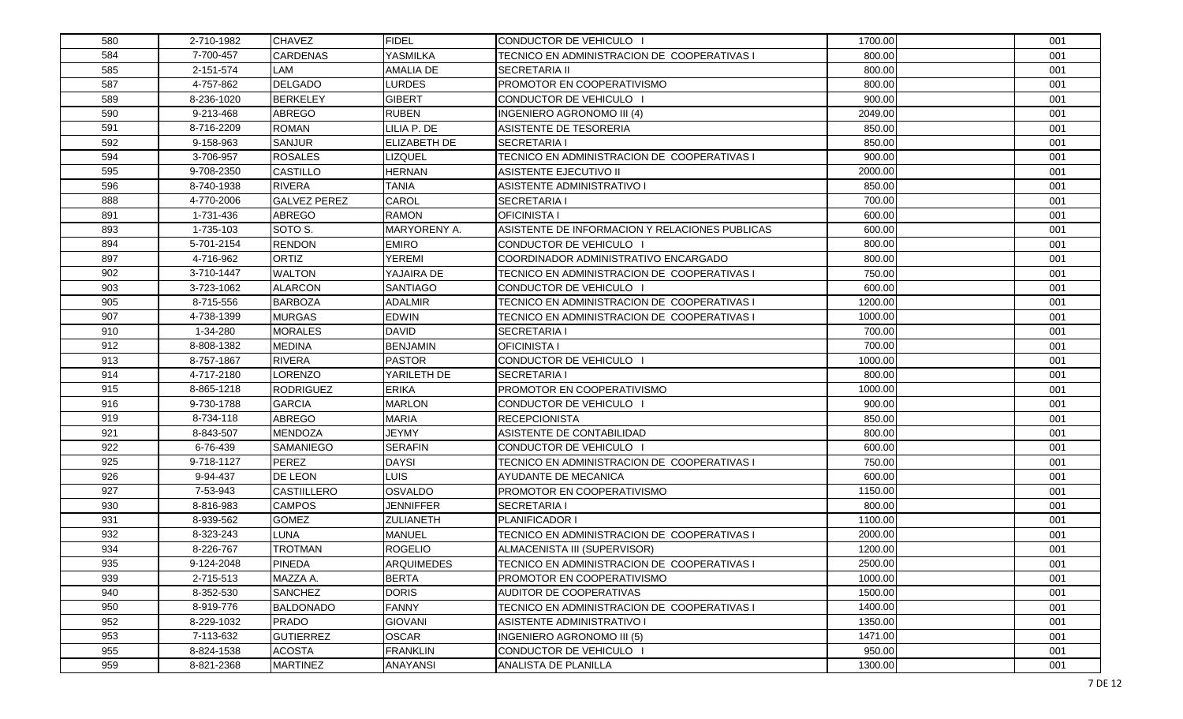| 580 | 2-710-1982 | <b>CHAVEZ</b>       | <b>FIDEL</b>      | CONDUCTOR DE VEHICULO                          | 1700.00 | 001 |
|-----|------------|---------------------|-------------------|------------------------------------------------|---------|-----|
| 584 | 7-700-457  | <b>CARDENAS</b>     | YASMILKA          | TECNICO EN ADMINISTRACION DE COOPERATIVAS I    | 800.00  | 001 |
| 585 | 2-151-574  | LAM                 | <b>AMALIA DE</b>  | <b>SECRETARIA II</b>                           | 800.00  | 001 |
| 587 | 4-757-862  | <b>DELGADO</b>      | <b>LURDES</b>     | PROMOTOR EN COOPERATIVISMO                     | 800.00  | 001 |
| 589 | 8-236-1020 | <b>BERKELEY</b>     | <b>GIBERT</b>     | CONDUCTOR DE VEHICULO                          | 900.00  | 001 |
| 590 | 9-213-468  | <b>ABREGO</b>       | <b>RUBEN</b>      | INGENIERO AGRONOMO III (4)                     | 2049.00 | 001 |
| 591 | 8-716-2209 | <b>ROMAN</b>        | LILIA P. DE       | ASISTENTE DE TESORERIA                         | 850.00  | 001 |
| 592 | 9-158-963  | <b>SANJUR</b>       | ELIZABETH DE      | ISECRETARIA I                                  | 850.00  | 001 |
| 594 | 3-706-957  | <b>ROSALES</b>      | LIZQUEL           | TECNICO EN ADMINISTRACION DE COOPERATIVAS I    | 900.00  | 001 |
| 595 | 9-708-2350 | <b>CASTILLO</b>     | <b>HERNAN</b>     | <b>ASISTENTE EJECUTIVO II</b>                  | 2000.00 | 001 |
| 596 | 8-740-1938 | <b>RIVERA</b>       | <b>TANIA</b>      | <b>ASISTENTE ADMINISTRATIVO I</b>              | 850.00  | 001 |
| 888 | 4-770-2006 | <b>GALVEZ PEREZ</b> | CAROL             | <b>SECRETARIA I</b>                            | 700.00  | 001 |
| 891 | 1-731-436  | <b>ABREGO</b>       | <b>RAMON</b>      | <b>OFICINISTA I</b>                            | 600.00  | 001 |
| 893 | 1-735-103  | SOTO S.             | MARYORENY A.      | ASISTENTE DE INFORMACION Y RELACIONES PUBLICAS | 600.00  | 001 |
| 894 | 5-701-2154 | <b>RENDON</b>       | <b>EMIRO</b>      | CONDUCTOR DE VEHICULO                          | 800.00  | 001 |
| 897 | 4-716-962  | <b>ORTIZ</b>        | <b>YEREMI</b>     | <b>COORDINADOR ADMINISTRATIVO ENCARGADO</b>    | 800.00  | 001 |
| 902 | 3-710-1447 | <b>WALTON</b>       | YAJAIRA DE        | TECNICO EN ADMINISTRACION DE COOPERATIVAS I    | 750.00  | 001 |
| 903 | 3-723-1062 | <b>ALARCON</b>      | <b>SANTIAGO</b>   | CONDUCTOR DE VEHICULO                          | 600.00  | 001 |
| 905 | 8-715-556  | <b>BARBOZA</b>      | <b>ADALMIR</b>    | TECNICO EN ADMINISTRACION DE COOPERATIVAS I    | 1200.00 | 001 |
| 907 | 4-738-1399 | <b>MURGAS</b>       | <b>EDWIN</b>      | TECNICO EN ADMINISTRACION DE COOPERATIVAS I    | 1000.00 | 001 |
| 910 | 1-34-280   | <b>MORALES</b>      | <b>DAVID</b>      | <b>SECRETARIA I</b>                            | 700.00  | 001 |
| 912 | 8-808-1382 | <b>MEDINA</b>       | <b>BENJAMIN</b>   | <b>OFICINISTA I</b>                            | 700.00  | 001 |
| 913 | 8-757-1867 | <b>RIVERA</b>       | <b>PASTOR</b>     | CONDUCTOR DE VEHICULO                          | 1000.00 | 001 |
| 914 | 4-717-2180 | <b>LORENZO</b>      | YARILETH DE       | <b>SECRETARIA I</b>                            | 800.00  | 001 |
| 915 | 8-865-1218 | <b>RODRIGUEZ</b>    | <b>ERIKA</b>      | <b>PROMOTOR EN COOPERATIVISMO</b>              | 1000.00 | 001 |
| 916 | 9-730-1788 | <b>GARCIA</b>       | <b>MARLON</b>     | CONDUCTOR DE VEHICULO                          | 900.00  | 001 |
| 919 | 8-734-118  | <b>ABREGO</b>       | <b>MARIA</b>      | <b>RECEPCIONISTA</b>                           | 850.00  | 001 |
| 921 | 8-843-507  | <b>MENDOZA</b>      | <b>JEYMY</b>      | ASISTENTE DE CONTABILIDAD                      | 800.00  | 001 |
| 922 | 6-76-439   | SAMANIEGO           | <b>SERAFIN</b>    | CONDUCTOR DE VEHICULO                          | 600.00  | 001 |
| 925 | 9-718-1127 | <b>PEREZ</b>        | <b>DAYSI</b>      | TECNICO EN ADMINISTRACION DE COOPERATIVAS I    | 750.00  | 001 |
| 926 | 9-94-437   | DE LEON             | LUIS              | AYUDANTE DE MECANICA                           | 600.00  | 001 |
| 927 | 7-53-943   | <b>CASTIILLERO</b>  | <b>OSVALDO</b>    | <b>PROMOTOR EN COOPERATIVISMO</b>              | 1150.00 | 001 |
| 930 | 8-816-983  | <b>CAMPOS</b>       | <b>JENNIFFER</b>  | <b>SECRETARIA I</b>                            | 800.00  | 001 |
| 931 | 8-939-562  | <b>GOMEZ</b>        | <b>ZULIANETH</b>  | <b>PLANIFICADOR I</b>                          | 1100.00 | 001 |
| 932 | 8-323-243  | <b>LUNA</b>         | <b>MANUEL</b>     | TECNICO EN ADMINISTRACION DE COOPERATIVAS I    | 2000.00 | 001 |
| 934 | 8-226-767  | <b>TROTMAN</b>      | <b>ROGELIO</b>    | ALMACENISTA III (SUPERVISOR)                   | 1200.00 | 001 |
| 935 | 9-124-2048 | <b>PINEDA</b>       | <b>ARQUIMEDES</b> | TECNICO EN ADMINISTRACION DE COOPERATIVAS I    | 2500.00 | 001 |
| 939 | 2-715-513  | MAZZA A.            | <b>BERTA</b>      | PROMOTOR EN COOPERATIVISMO                     | 1000.00 | 001 |
| 940 | 8-352-530  | <b>SANCHEZ</b>      | <b>DORIS</b>      | AUDITOR DE COOPERATIVAS                        | 1500.00 | 001 |
| 950 | 8-919-776  | <b>BALDONADO</b>    | <b>FANNY</b>      | TECNICO EN ADMINISTRACION DE COOPERATIVAS I    | 1400.00 | 001 |
| 952 | 8-229-1032 | <b>PRADO</b>        | <b>GIOVANI</b>    | ASISTENTE ADMINISTRATIVO I                     | 1350.00 | 001 |
| 953 | 7-113-632  | <b>GUTIERREZ</b>    | <b>OSCAR</b>      | <b>INGENIERO AGRONOMO III (5)</b>              | 1471.00 | 001 |
| 955 | 8-824-1538 | <b>ACOSTA</b>       | <b>FRANKLIN</b>   | CONDUCTOR DE VEHICULO I                        | 950.00  | 001 |
| 959 | 8-821-2368 | <b>MARTINEZ</b>     | ANAYANSI          | ANALISTA DE PLANILLA                           | 1300.00 | 001 |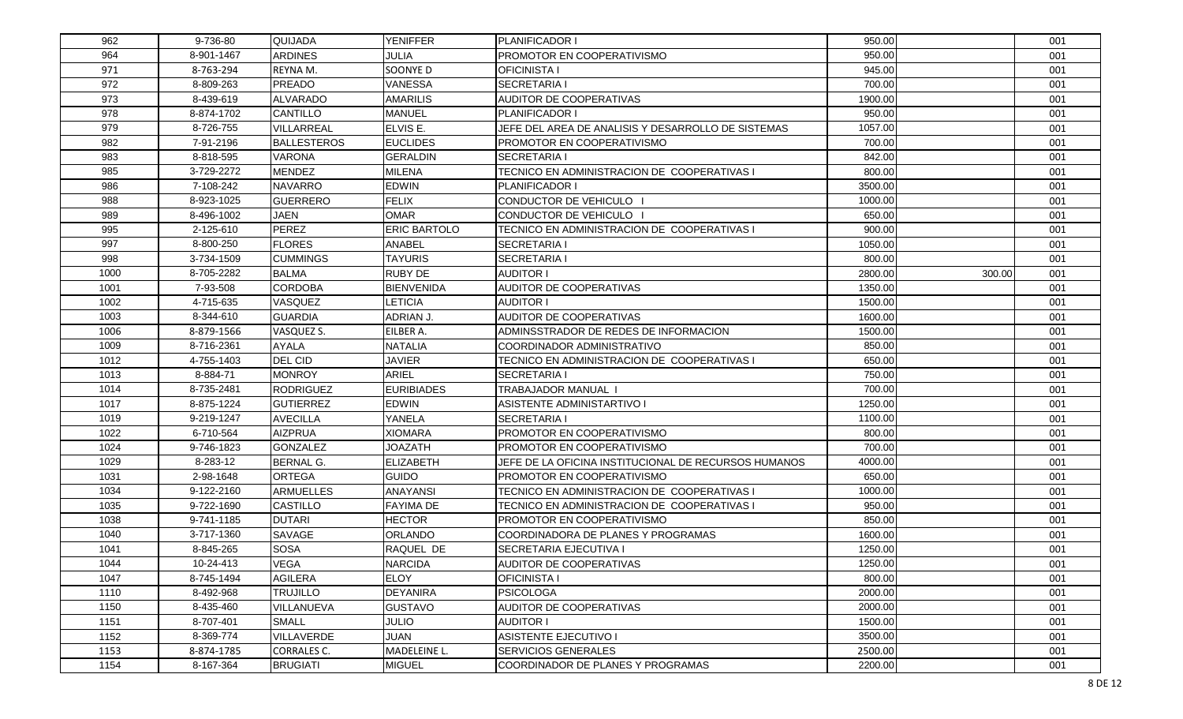| 962  | 9-736-80   | QUIJADA            | <b>YENIFFER</b>     | PLANIFICADOR I                                       | 950.00  |        | 001 |
|------|------------|--------------------|---------------------|------------------------------------------------------|---------|--------|-----|
| 964  | 8-901-1467 | <b>ARDINES</b>     | JULIA               | <b>IPROMOTOR EN COOPERATIVISMO</b>                   | 950.00  |        | 001 |
| 971  | 8-763-294  | REYNA M.           | SOONYE D            | <b>OFICINISTA I</b>                                  | 945.00  |        | 001 |
| 972  | 8-809-263  | <b>PREADO</b>      | <b>VANESSA</b>      | <b>SECRETARIA I</b>                                  | 700.00  |        | 001 |
| 973  | 8-439-619  | <b>ALVARADO</b>    | <b>AMARILIS</b>     | AUDITOR DE COOPERATIVAS                              | 1900.00 |        | 001 |
| 978  | 8-874-1702 | CANTILLO           | MANUEL              | <b>PLANIFICADOR I</b>                                | 950.00  |        | 001 |
| 979  | 8-726-755  | VILLARREAL         | ELVIS E.            | JEFE DEL AREA DE ANALISIS Y DESARROLLO DE SISTEMAS   | 1057.00 |        | 001 |
| 982  | 7-91-2196  | <b>BALLESTEROS</b> | <b>EUCLIDES</b>     | <b>PROMOTOR EN COOPERATIVISMO</b>                    | 700.00  |        | 001 |
| 983  | 8-818-595  | <b>VARONA</b>      | <b>GERALDIN</b>     | <b>SECRETARIA I</b>                                  | 842.00  |        | 001 |
| 985  | 3-729-2272 | <b>MENDEZ</b>      | MILENA              | TECNICO EN ADMINISTRACION DE COOPERATIVAS I          | 800.00  |        | 001 |
| 986  | 7-108-242  | <b>NAVARRO</b>     | <b>EDWIN</b>        | PLANIFICADOR I                                       | 3500.00 |        | 001 |
| 988  | 8-923-1025 | <b>GUERRERO</b>    | <b>FELIX</b>        | CONDUCTOR DE VEHICULO                                | 1000.00 |        | 001 |
| 989  | 8-496-1002 | <b>JAEN</b>        | <b>OMAR</b>         | CONDUCTOR DE VEHICULO                                | 650.00  |        | 001 |
| 995  | 2-125-610  | <b>PEREZ</b>       | <b>ERIC BARTOLO</b> | TECNICO EN ADMINISTRACION DE COOPERATIVAS I          | 900.00  |        | 001 |
| 997  | 8-800-250  | <b>FLORES</b>      | <b>ANABEL</b>       | <b>SECRETARIA I</b>                                  | 1050.00 |        | 001 |
| 998  | 3-734-1509 | <b>CUMMINGS</b>    | <b>TAYURIS</b>      | <b>SECRETARIA I</b>                                  | 800.00  |        | 001 |
| 1000 | 8-705-2282 | <b>BALMA</b>       | <b>RUBY DE</b>      | <b>AUDITOR I</b>                                     | 2800.00 | 300.00 | 001 |
| 1001 | 7-93-508   | <b>CORDOBA</b>     | <b>BIENVENIDA</b>   | <b>AUDITOR DE COOPERATIVAS</b>                       | 1350.00 |        | 001 |
| 1002 | 4-715-635  | <b>VASQUEZ</b>     | LETICIA             | <b>AUDITOR I</b>                                     | 1500.00 |        | 001 |
| 1003 | 8-344-610  | <b>GUARDIA</b>     | ADRIAN J.           | <b>AUDITOR DE COOPERATIVAS</b>                       | 1600.00 |        | 001 |
| 1006 | 8-879-1566 | VASQUEZ S.         | EILBER A.           | ADMINSSTRADOR DE REDES DE INFORMACION                | 1500.00 |        | 001 |
| 1009 | 8-716-2361 | <b>AYALA</b>       | <b>NATALIA</b>      | COORDINADOR ADMINISTRATIVO                           | 850.00  |        | 001 |
| 1012 | 4-755-1403 | <b>DEL CID</b>     | <b>JAVIER</b>       | TECNICO EN ADMINISTRACION DE COOPERATIVAS I          | 650.00  |        | 001 |
| 1013 | 8-884-71   | <b>MONROY</b>      | <b>ARIEL</b>        | <b>SECRETARIA I</b>                                  | 750.00  |        | 001 |
| 1014 | 8-735-2481 | <b>RODRIGUEZ</b>   | <b>EURIBIADES</b>   | TRABAJADOR MANUAL                                    | 700.00  |        | 001 |
| 1017 | 8-875-1224 | <b>GUTIERREZ</b>   | <b>EDWIN</b>        | ASISTENTE ADMINISTARTIVO I                           | 1250.00 |        | 001 |
| 1019 | 9-219-1247 | <b>AVECILLA</b>    | YANELA              | <b>SECRETARIA I</b>                                  | 1100.00 |        | 001 |
| 1022 | 6-710-564  | <b>AIZPRUA</b>     | <b>XIOMARA</b>      | <b>PROMOTOR EN COOPERATIVISMO</b>                    | 800.00  |        | 001 |
| 1024 | 9-746-1823 | <b>GONZALEZ</b>    | <b>JOAZATH</b>      | <b>IPROMOTOR EN COOPERATIVISMO</b>                   | 700.00  |        | 001 |
| 1029 | 8-283-12   | <b>BERNAL G.</b>   | <b>ELIZABETH</b>    | JEFE DE LA OFICINA INSTITUCIONAL DE RECURSOS HUMANOS | 4000.00 |        | 001 |
| 1031 | 2-98-1648  | <b>ORTEGA</b>      | <b>GUIDO</b>        | <b>PROMOTOR EN COOPERATIVISMO</b>                    | 650.00  |        | 001 |
| 1034 | 9-122-2160 | <b>ARMUELLES</b>   | ANAYANSI            | TECNICO EN ADMINISTRACION DE COOPERATIVAS I          | 1000.00 |        | 001 |
| 1035 | 9-722-1690 | <b>CASTILLO</b>    | FAYIMA DE           | TECNICO EN ADMINISTRACION DE  COOPERATIVAS I         | 950.00  |        | 001 |
| 1038 | 9-741-1185 | <b>DUTARI</b>      | <b>HECTOR</b>       | <b>IPROMOTOR EN COOPERATIVISMO</b>                   | 850.00  |        | 001 |
| 1040 | 3-717-1360 | SAVAGE             | <b>ORLANDO</b>      | <b>COORDINADORA DE PLANES Y PROGRAMAS</b>            | 1600.00 |        | 001 |
| 1041 | 8-845-265  | <b>SOSA</b>        | RAQUEL DE           | <b>ISECRETARIA EJECUTIVA I</b>                       | 1250.00 |        | 001 |
| 1044 | 10-24-413  | <b>VEGA</b>        | <b>NARCIDA</b>      | IAUDITOR DE COOPERATIVAS                             | 1250.00 |        | 001 |
| 1047 | 8-745-1494 | <b>AGILERA</b>     | <b>ELOY</b>         | <b>OFICINISTA I</b>                                  | 800.00  |        | 001 |
| 1110 | 8-492-968  | <b>TRUJILLO</b>    | <b>DEYANIRA</b>     | PSICOLOGA                                            | 2000.00 |        | 001 |
| 1150 | 8-435-460  | VILLANUEVA         | <b>GUSTAVO</b>      | AUDITOR DE COOPERATIVAS                              | 2000.00 |        | 001 |
| 1151 | 8-707-401  | <b>SMALL</b>       | <b>JULIO</b>        | <b>AUDITOR I</b>                                     | 1500.00 |        | 001 |
| 1152 | 8-369-774  | <b>VILLAVERDE</b>  | <b>JUAN</b>         | ASISTENTE EJECUTIVO I                                | 3500.00 |        | 001 |
| 1153 | 8-874-1785 | <b>CORRALES C.</b> | MADELEINE L.        | <b>SERVICIOS GENERALES</b>                           | 2500.00 |        | 001 |
| 1154 | 8-167-364  | <b>BRUGIATI</b>    | <b>MIGUEL</b>       | COORDINADOR DE PLANES Y PROGRAMAS                    | 2200.00 |        | 001 |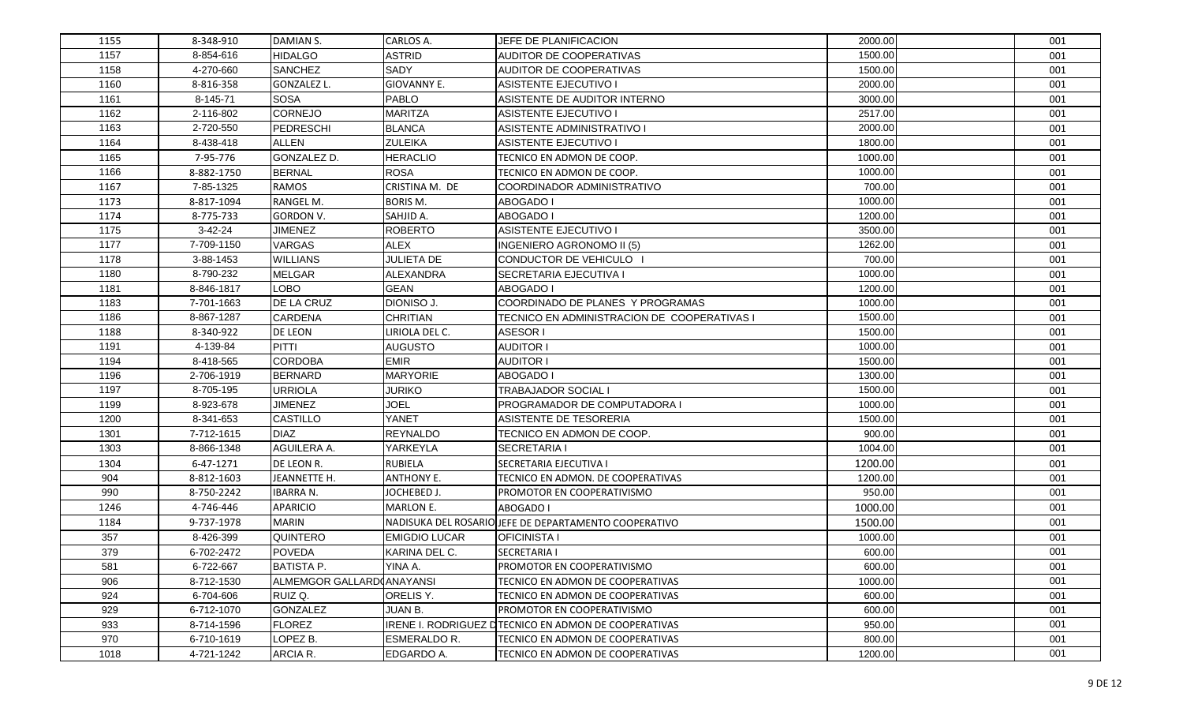| 1155 | 8-348-910  | DAMIAN S.                 | CARLOS A.            | <b>JEFE DE PLANIFICACION</b>                          | 2000.00 | 001 |
|------|------------|---------------------------|----------------------|-------------------------------------------------------|---------|-----|
| 1157 | 8-854-616  | <b>HIDALGO</b>            | <b>ASTRID</b>        | AUDITOR DE COOPERATIVAS                               | 1500.00 | 001 |
| 1158 | 4-270-660  | <b>SANCHEZ</b>            | <b>SADY</b>          | <b>AUDITOR DE COOPERATIVAS</b>                        | 1500.00 | 001 |
| 1160 | 8-816-358  | GONZALEZ L.               | GIOVANNY E.          | ASISTENTE EJECUTIVO I                                 | 2000.00 | 001 |
| 1161 | 8-145-71   | <b>SOSA</b>               | <b>PABLO</b>         | ASISTENTE DE AUDITOR INTERNO                          | 3000.00 | 001 |
| 1162 | 2-116-802  | <b>CORNEJO</b>            | <b>MARITZA</b>       | ASISTENTE EJECUTIVO I                                 | 2517.00 | 001 |
| 1163 | 2-720-550  | PEDRESCHI                 | <b>BLANCA</b>        | ASISTENTE ADMINISTRATIVO I                            | 2000.00 | 001 |
| 1164 | 8-438-418  | <b>ALLEN</b>              | <b>ZULEIKA</b>       | <b>ASISTENTE EJECUTIVO I</b>                          | 1800.00 | 001 |
| 1165 | 7-95-776   | GONZALEZ D.               | <b>HERACLIO</b>      | TECNICO EN ADMON DE COOP.                             | 1000.00 | 001 |
| 1166 | 8-882-1750 | <b>BERNAL</b>             | <b>ROSA</b>          | <b>TECNICO EN ADMON DE COOP.</b>                      | 1000.00 | 001 |
| 1167 | 7-85-1325  | <b>RAMOS</b>              | CRISTINA M. DE       | COORDINADOR ADMINISTRATIVO                            | 700.00  | 001 |
| 1173 | 8-817-1094 | RANGEL M.                 | <b>BORIS M.</b>      | <b>ABOGADO I</b>                                      | 1000.00 | 001 |
| 1174 | 8-775-733  | <b>GORDON V.</b>          | SAHJID A.            | <b>ABOGADO I</b>                                      | 1200.00 | 001 |
| 1175 | $3-42-24$  | <b>JIMENEZ</b>            | <b>ROBERTO</b>       | <b>ASISTENTE EJECUTIVO I</b>                          | 3500.00 | 001 |
| 1177 | 7-709-1150 | VARGAS                    | <b>ALEX</b>          | <b>INGENIERO AGRONOMO II (5)</b>                      | 1262.00 | 001 |
| 1178 | 3-88-1453  | <b>WILLIANS</b>           | <b>JULIETA DE</b>    | CONDUCTOR DE VEHICULO                                 | 700.00  | 001 |
| 1180 | 8-790-232  | <b>MELGAR</b>             | ALEXANDRA            | <b>SECRETARIA EJECUTIVA I</b>                         | 1000.00 | 001 |
| 1181 | 8-846-1817 | <b>LOBO</b>               | <b>GEAN</b>          | <b>ABOGADO I</b>                                      | 1200.00 | 001 |
| 1183 | 7-701-1663 | DE LA CRUZ                | DIONISO J.           | <b>COORDINADO DE PLANES Y PROGRAMAS</b>               | 1000.00 | 001 |
| 1186 | 8-867-1287 | <b>CARDENA</b>            | <b>CHRITIAN</b>      | TECNICO EN ADMINISTRACION DE COOPERATIVAS I           | 1500.00 | 001 |
| 1188 | 8-340-922  | <b>DE LEON</b>            | LIRIOLA DEL C.       | <b>ASESOR I</b>                                       | 1500.00 | 001 |
| 1191 | 4-139-84   | <b>PITTI</b>              | <b>AUGUSTO</b>       | <b>AUDITOR I</b>                                      | 1000.00 | 001 |
| 1194 | 8-418-565  | <b>CORDOBA</b>            | <b>EMIR</b>          | <b>AUDITOR I</b>                                      | 1500.00 | 001 |
| 1196 | 2-706-1919 | <b>BERNARD</b>            | <b>MARYORIE</b>      | <b>ABOGADO I</b>                                      | 1300.00 | 001 |
| 1197 | 8-705-195  | <b>URRIOLA</b>            | <b>JURIKO</b>        | <b>TRABAJADOR SOCIAL I</b>                            | 1500.00 | 001 |
| 1199 | 8-923-678  | <b>JIMENEZ</b>            | <b>JOEL</b>          | <b>PROGRAMADOR DE COMPUTADORA I</b>                   | 1000.00 | 001 |
| 1200 | 8-341-653  | <b>CASTILLO</b>           | YANET                | ASISTENTE DE TESORERIA                                | 1500.00 | 001 |
| 1301 | 7-712-1615 | <b>DIAZ</b>               | <b>REYNALDO</b>      | TECNICO EN ADMON DE COOP.                             | 900.00  | 001 |
| 1303 | 8-866-1348 | AGUILERA A.               | YARKEYLA             | <b>SECRETARIA I</b>                                   | 1004.00 | 001 |
| 1304 | 6-47-1271  | DE LEON R.                | <b>RUBIELA</b>       | <b>SECRETARIA EJECUTIVA I</b>                         | 1200.00 | 001 |
| 904  | 8-812-1603 | JEANNETTE H.              | <b>ANTHONY E.</b>    | TECNICO EN ADMON. DE COOPERATIVAS                     | 1200.00 | 001 |
| 990  | 8-750-2242 | <b>IBARRA N.</b>          | JOCHEBED J.          | <b>PROMOTOR EN COOPERATIVISMO</b>                     | 950.00  | 001 |
| 1246 | 4-746-446  | <b>APARICIO</b>           | <b>MARLON E.</b>     | ABOGADO I                                             | 1000.00 | 001 |
| 1184 | 9-737-1978 | <b>MARIN</b>              |                      | NADISUKA DEL ROSARIO JEFE DE DEPARTAMENTO COOPERATIVO | 1500.00 | 001 |
| 357  | 8-426-399  | <b>QUINTERO</b>           | <b>EMIGDIO LUCAR</b> | <b>OFICINISTA I</b>                                   | 1000.00 | 001 |
| 379  | 6-702-2472 | <b>POVEDA</b>             | KARINA DEL C.        | <b>SECRETARIA I</b>                                   | 600.00  | 001 |
| 581  | 6-722-667  | <b>BATISTA P.</b>         | YINA A.              | PROMOTOR EN COOPERATIVISMO                            | 600.00  | 001 |
| 906  | 8-712-1530 | ALMEMGOR GALLARD(ANAYANSI |                      | TECNICO EN ADMON DE COOPERATIVAS                      | 1000.00 | 001 |
| 924  | 6-704-606  | RUIZ Q.                   | ORELIS Y.            | <b>TECNICO EN ADMON DE COOPERATIVAS</b>               | 600.00  | 001 |
| 929  | 6-712-1070 | <b>GONZALEZ</b>           | JUAN B.              | <b>PROMOTOR EN COOPERATIVISMO</b>                     | 600.00  | 001 |
| 933  | 8-714-1596 | <b>FLOREZ</b>             |                      | IRENE I. RODRIGUEZ DTECNICO EN ADMON DE COOPERATIVAS  | 950.00  | 001 |
| 970  | 6-710-1619 | LOPEZ B.                  | ESMERALDO R.         | <b>TECNICO EN ADMON DE COOPERATIVAS</b>               | 800.00  | 001 |
| 1018 | 4-721-1242 | ARCIA R.                  | EDGARDO A.           | TECNICO EN ADMON DE COOPERATIVAS                      | 1200.00 | 001 |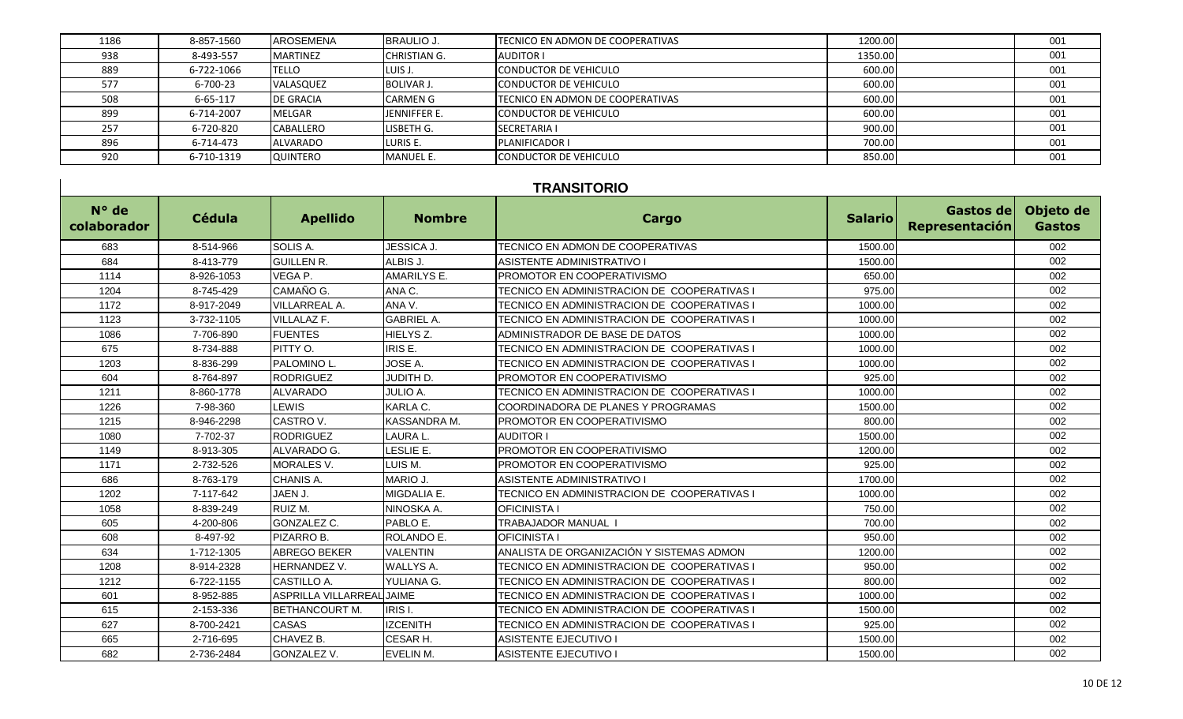| 1186 | 8-857-1560 | <b>AROSEMENA</b> | <b>BRAULIO J.</b>   | <b>ITECNICO EN ADMON DE COOPERATIVAS</b> | 1200.00 | 001 |
|------|------------|------------------|---------------------|------------------------------------------|---------|-----|
| 938  | 8-493-557  | <b>MARTINEZ</b>  | <b>CHRISTIAN G.</b> | <b>AUDITOR I</b>                         | 1350.00 | 001 |
| 889  | 6-722-1066 | <b>TELLO</b>     | LUIS J.             | <b>CONDUCTOR DE VEHICULO</b>             | 600.00  | 001 |
| 577  | 6-700-23   | VALASQUEZ        | <b>BOLIVAR J.</b>   | <b>CONDUCTOR DE VEHICULO</b>             | 600.00  | 001 |
| 508  | 6-65-117   | <b>DE GRACIA</b> | <b>CARMEN G</b>     | <b>ITECNICO EN ADMON DE COOPERATIVAS</b> | 600.00  | 001 |
| 899  | 6-714-2007 | <b>MELGAR</b>    | JENNIFFER E.        | <b>CONDUCTOR DE VEHICULO</b>             | 600.00  | 001 |
| 257  | 6-720-820  | CABALLERO        | LISBETH G.          | <b>SECRETARIA I</b>                      | 900.00  | 001 |
| 896  | 6-714-473  | <b>ALVARADO</b>  | LURIS E.            | PLANIFICADOR I                           | 700.00  | 001 |
| 920  | 6-710-1319 | QUINTERO         | <b>MANUEL E.</b>    | <b>CONDUCTOR DE VEHICULO</b>             | 850.00  | 001 |

## **TRANSITORIO**

| N° de<br>colaborador | Cédula     | <b>Apellido</b>           | <b>Nombre</b>        | Cargo                                       | <b>Salario</b> | Gastos de<br>Representación | Objeto de<br><b>Gastos</b> |
|----------------------|------------|---------------------------|----------------------|---------------------------------------------|----------------|-----------------------------|----------------------------|
| 683                  | 8-514-966  | SOLIS A.                  | <b>JESSICA J.</b>    | TECNICO EN ADMON DE COOPERATIVAS            | 1500.00        |                             | 002                        |
| 684                  | 8-413-779  | <b>GUILLEN R.</b>         | ALBIS J.             | <b>ASISTENTE ADMINISTRATIVO I</b>           | 1500.00        |                             | 002                        |
| 1114                 | 8-926-1053 | VEGA P.                   | <b>AMARILYS E.</b>   | <b>PROMOTOR EN COOPERATIVISMO</b>           | 650.00         |                             | 002                        |
| 1204                 | 8-745-429  | CAMAÑO G.                 | ANA C.               | TECNICO EN ADMINISTRACION DE COOPERATIVAS I | 975.00         |                             | 002                        |
| 1172                 | 8-917-2049 | <b>VILLARREAL A.</b>      | ANA V.               | TECNICO EN ADMINISTRACION DE COOPERATIVAS I | 1000.00        |                             | 002                        |
| 1123                 | 3-732-1105 | <b>VILLALAZ F.</b>        | <b>GABRIEL A.</b>    | TECNICO EN ADMINISTRACION DE COOPERATIVAS I | 1000.00        |                             | 002                        |
| 1086                 | 7-706-890  | <b>FUENTES</b>            | HIELYS <sub>Z.</sub> | ADMINISTRADOR DE BASE DE DATOS              | 1000.00        |                             | 002                        |
| 675                  | 8-734-888  | PITTY O.                  | IRIS E.              | TECNICO EN ADMINISTRACION DE COOPERATIVAS I | 1000.00        |                             | 002                        |
| 1203                 | 8-836-299  | <b>PALOMINO L.</b>        | JOSE A.              | TECNICO EN ADMINISTRACION DE COOPERATIVAS I | 1000.00        |                             | 002                        |
| 604                  | 8-764-897  | <b>RODRIGUEZ</b>          | JUDITH D.            | PROMOTOR EN COOPERATIVISMO                  | 925.00         |                             | 002                        |
| 1211                 | 8-860-1778 | <b>ALVARADO</b>           | <b>JULIO A.</b>      | TECNICO EN ADMINISTRACION DE COOPERATIVAS I | 1000.00        |                             | 002                        |
| 1226                 | 7-98-360   | <b>LEWIS</b>              | KARLA C.             | COORDINADORA DE PLANES Y PROGRAMAS          | 1500.00        |                             | 002                        |
| 1215                 | 8-946-2298 | CASTRO V.                 | KASSANDRA M.         | PROMOTOR EN COOPERATIVISMO                  | 800.00         |                             | 002                        |
| 1080                 | 7-702-37   | <b>RODRIGUEZ</b>          | LAURA L              | <b>AUDITOR I</b>                            | 1500.00        |                             | 002                        |
| 1149                 | 8-913-305  | ALVARADO G.               | LESLIE E.            | <b>PROMOTOR EN COOPERATIVISMO</b>           | 1200.00        |                             | 002                        |
| 1171                 | 2-732-526  | <b>MORALES V.</b>         | LUIS M.              | PROMOTOR EN COOPERATIVISMO                  | 925.00         |                             | 002                        |
| 686                  | 8-763-179  | CHANIS A.                 | MARIO J.             | ASISTENTE ADMINISTRATIVO I                  | 1700.00        |                             | 002                        |
| 1202                 | 7-117-642  | JAEN J.                   | MIGDALIA E.          | TECNICO EN ADMINISTRACION DE COOPERATIVAS I | 1000.00        |                             | 002                        |
| 1058                 | 8-839-249  | RUIZ M.                   | NINOSKA A.           | <b>OFICINISTA I</b>                         | 750.00         |                             | 002                        |
| 605                  | 4-200-806  | GONZALEZ C.               | PABLO E.             | TRABAJADOR MANUAL I                         | 700.00         |                             | 002                        |
| 608                  | 8-497-92   | <b>PIZARRO B.</b>         | ROLANDO E.           | <b>OFICINISTA I</b>                         | 950.00         |                             | 002                        |
| 634                  | 1-712-1305 | <b>ABREGO BEKER</b>       | <b>VALENTIN</b>      | ANALISTA DE ORGANIZACIÓN Y SISTEMAS ADMON   | 1200.00        |                             | 002                        |
| 1208                 | 8-914-2328 | <b>HERNANDEZ V.</b>       | <b>WALLYS A.</b>     | TECNICO EN ADMINISTRACION DE COOPERATIVAS I | 950.00         |                             | 002                        |
| 1212                 | 6-722-1155 | <b>CASTILLO A.</b>        | YULIANA G.           | TECNICO EN ADMINISTRACION DE COOPERATIVAS I | 800.00         |                             | 002                        |
| 601                  | 8-952-885  | ASPRILLA VILLARREAL JAIME |                      | TECNICO EN ADMINISTRACION DE COOPERATIVAS I | 1000.00        |                             | 002                        |
| 615                  | 2-153-336  | <b>BETHANCOURT M.</b>     | IRIS I.              | TECNICO EN ADMINISTRACION DE COOPERATIVAS I | 1500.00        |                             | 002                        |
| 627                  | 8-700-2421 | <b>CASAS</b>              | <b>IZCENITH</b>      | TECNICO EN ADMINISTRACION DE COOPERATIVAS I | 925.00         |                             | 002                        |
| 665                  | 2-716-695  | CHAVEZ B.                 | CESAR H.             | <b>ASISTENTE EJECUTIVO I</b>                | 1500.00        |                             | 002                        |
| 682                  | 2-736-2484 | <b>GONZALEZ V.</b>        | <b>EVELIN M.</b>     | <b>ASISTENTE EJECUTIVO I</b>                | 1500.00        |                             | 002                        |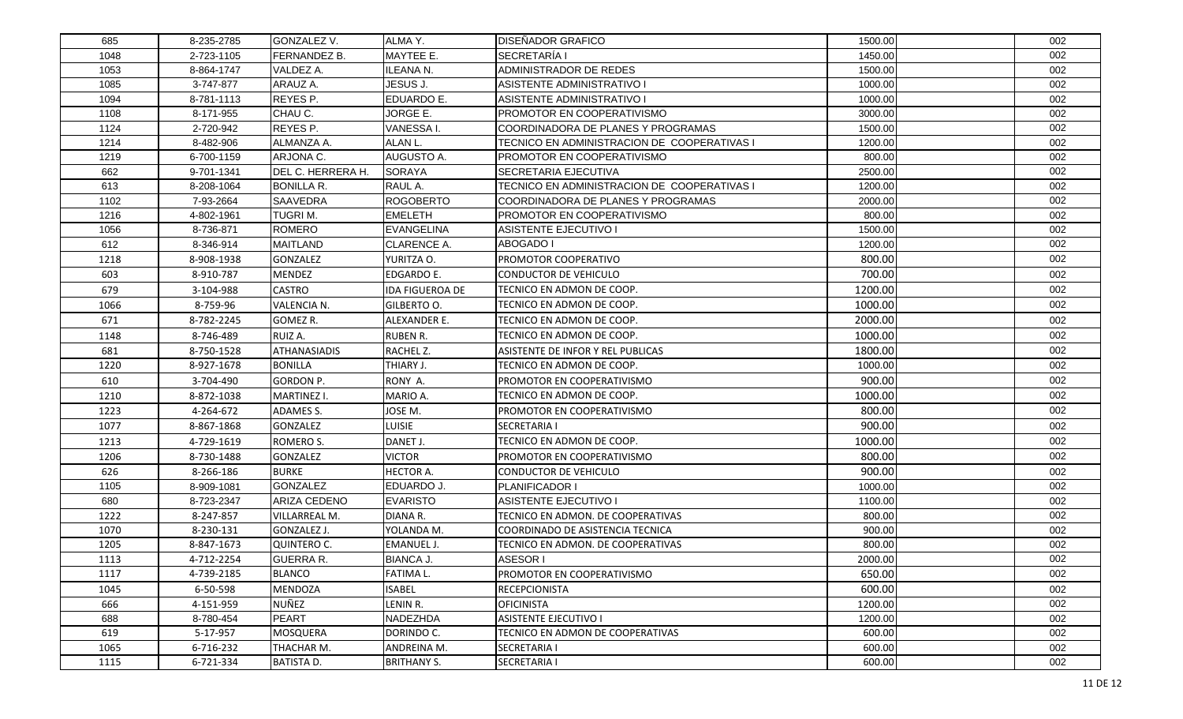| 685  | 8-235-2785 | GONZALEZ V.         | ALMA Y.                | <b>DISEÑADOR GRAFICO</b>                    | 1500.00 | 002 |
|------|------------|---------------------|------------------------|---------------------------------------------|---------|-----|
| 1048 | 2-723-1105 | FERNANDEZ B.        | MAYTEE E.              | <b>SECRETARÍA I</b>                         | 1450.00 | 002 |
| 1053 | 8-864-1747 | VALDEZ A.           | ILEANA N.              | ADMINISTRADOR DE REDES                      | 1500.00 | 002 |
| 1085 | 3-747-877  | ARAUZ A.            | JESUS J.               | ASISTENTE ADMINISTRATIVO I                  | 1000.00 | 002 |
| 1094 | 8-781-1113 | REYES P.            | EDUARDO E.             | ASISTENTE ADMINISTRATIVO I                  | 1000.00 | 002 |
| 1108 | 8-171-955  | CHAU C.             | JORGE E.               | PROMOTOR EN COOPERATIVISMO                  | 3000.00 | 002 |
| 1124 | 2-720-942  | REYES P.            | VANESSA I.             | COORDINADORA DE PLANES Y PROGRAMAS          | 1500.00 | 002 |
| 1214 | 8-482-906  | ALMANZA A.          | ALAN L.                | TECNICO EN ADMINISTRACION DE COOPERATIVAS I | 1200.00 | 002 |
| 1219 | 6-700-1159 | ARJONA C.           | AUGUSTO A.             | PROMOTOR EN COOPERATIVISMO                  | 800.00  | 002 |
| 662  | 9-701-1341 | DEL C. HERRERA H.   | <b>SORAYA</b>          | SECRETARIA EJECUTIVA                        | 2500.00 | 002 |
| 613  | 8-208-1064 | <b>BONILLA R.</b>   | RAUL A.                | TECNICO EN ADMINISTRACION DE COOPERATIVAS I | 1200.00 | 002 |
| 1102 | 7-93-2664  | SAAVEDRA            | <b>ROGOBERTO</b>       | COORDINADORA DE PLANES Y PROGRAMAS          | 2000.00 | 002 |
| 1216 | 4-802-1961 | TUGRIM.             | <b>EMELETH</b>         | PROMOTOR EN COOPERATIVISMO                  | 800.00  | 002 |
| 1056 | 8-736-871  | ROMERO              | <b>EVANGELINA</b>      | ASISTENTE EJECUTIVO I                       | 1500.00 | 002 |
| 612  | 8-346-914  | <b>MAITLAND</b>     | CLARENCE A.            | ABOGADO I                                   | 1200.00 | 002 |
| 1218 | 8-908-1938 | GONZALEZ            | YURITZA O.             | PROMOTOR COOPERATIVO                        | 800.00  | 002 |
| 603  | 8-910-787  | MENDEZ              | <b>EDGARDO E.</b>      | CONDUCTOR DE VEHICULO                       | 700.00  | 002 |
| 679  | 3-104-988  | CASTRO              | <b>IDA FIGUEROA DE</b> | TECNICO EN ADMON DE COOP.                   | 1200.00 | 002 |
| 1066 | 8-759-96   | <b>VALENCIA N.</b>  | GILBERTO O.            | TECNICO EN ADMON DE COOP.                   | 1000.00 | 002 |
| 671  | 8-782-2245 | GOMEZ R.            | ALEXANDER E.           | TECNICO EN ADMON DE COOP.                   | 2000.00 | 002 |
| 1148 | 8-746-489  | RUIZ A.             | <b>RUBEN R.</b>        | TECNICO EN ADMON DE COOP.                   | 1000.00 | 002 |
| 681  | 8-750-1528 | <b>ATHANASIADIS</b> | RACHEL Z.              | ASISTENTE DE INFOR Y REL PUBLICAS           | 1800.00 | 002 |
| 1220 | 8-927-1678 | <b>BONILLA</b>      | THIARY J.              | TECNICO EN ADMON DE COOP.                   | 1000.00 | 002 |
| 610  | 3-704-490  | GORDON P.           | RONY A.                | PROMOTOR EN COOPERATIVISMO                  | 900.00  | 002 |
| 1210 | 8-872-1038 | MARTINEZ I.         | MARIO A.               | TECNICO EN ADMON DE COOP.                   | 1000.00 | 002 |
| 1223 | 4-264-672  | ADAMES S.           | JOSE M.                | PROMOTOR EN COOPERATIVISMO                  | 800.00  | 002 |
| 1077 | 8-867-1868 | GONZALEZ            | <b>LUISIE</b>          | <b>SECRETARIA I</b>                         | 900.00  | 002 |
| 1213 | 4-729-1619 | ROMERO S.           | DANET J.               | TECNICO EN ADMON DE COOP.                   | 1000.00 | 002 |
| 1206 | 8-730-1488 | GONZALEZ            | <b>VICTOR</b>          | PROMOTOR EN COOPERATIVISMO                  | 800.00  | 002 |
| 626  | 8-266-186  | <b>BURKE</b>        | <b>HECTOR A.</b>       | CONDUCTOR DE VEHICULO                       | 900.00  | 002 |
| 1105 | 8-909-1081 | <b>GONZALEZ</b>     | EDUARDO J.             | PLANIFICADOR I                              | 1000.00 | 002 |
| 680  | 8-723-2347 | ARIZA CEDENO        | <b>EVARISTO</b>        | <b>ASISTENTE EJECUTIVO I</b>                | 1100.00 | 002 |
| 1222 | 8-247-857  | VILLARREAL M.       | DIANA R.               | TECNICO EN ADMON. DE COOPERATIVAS           | 800.00  | 002 |
| 1070 | 8-230-131  | GONZALEZ J.         | YOLANDA M.             | COORDINADO DE ASISTENCIA TECNICA            | 900.00  | 002 |
| 1205 | 8-847-1673 | <b>QUINTERO C.</b>  | EMANUEL J.             | TECNICO EN ADMON. DE COOPERATIVAS           | 800.00  | 002 |
| 1113 | 4-712-2254 | <b>GUERRA R.</b>    | <b>BIANCA J.</b>       | <b>ASESOR I</b>                             | 2000.00 | 002 |
| 1117 | 4-739-2185 | <b>BLANCO</b>       | <b>FATIMAL.</b>        | PROMOTOR EN COOPERATIVISMO                  | 650.00  | 002 |
| 1045 | 6-50-598   | MENDOZA             | <b>ISABEL</b>          | <b>RECEPCIONISTA</b>                        | 600.00  | 002 |
| 666  | 4-151-959  | NUÑEZ               | LENIN R.               | <b>OFICINISTA</b>                           | 1200.00 | 002 |
| 688  | 8-780-454  | PEART               | NADEZHDA               | <b>ASISTENTE EJECUTIVO I</b>                | 1200.00 | 002 |
| 619  | 5-17-957   | MOSQUERA            | DORINDO C.             | TECNICO EN ADMON DE COOPERATIVAS            | 600.00  | 002 |
| 1065 | 6-716-232  | THACHAR M.          | ANDREINA M.            | <b>SECRETARIA I</b>                         | 600.00  | 002 |
| 1115 | 6-721-334  | <b>BATISTA D.</b>   | <b>BRITHANY S.</b>     | <b>SECRETARIA I</b>                         | 600.00  | 002 |